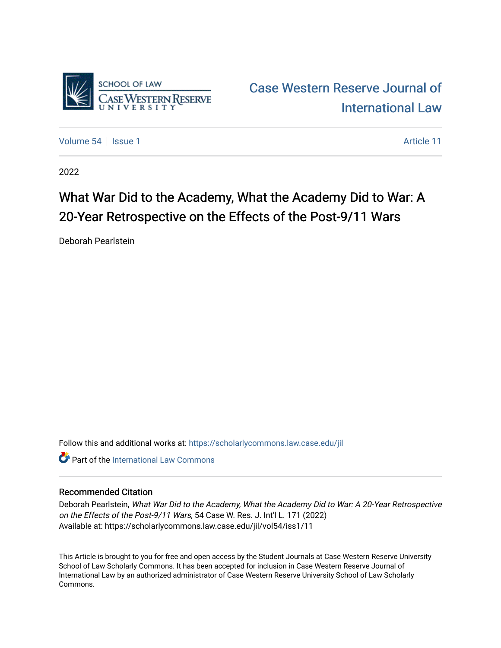

[Volume 54](https://scholarlycommons.law.case.edu/jil/vol54) | [Issue 1](https://scholarlycommons.law.case.edu/jil/vol54/iss1) Article 11

2022

## What War Did to the Academy, What the Academy Did to War: A 20-Year Retrospective on the Effects of the Post-9/11 Wars

Deborah Pearlstein

Follow this and additional works at: [https://scholarlycommons.law.case.edu/jil](https://scholarlycommons.law.case.edu/jil?utm_source=scholarlycommons.law.case.edu%2Fjil%2Fvol54%2Fiss1%2F11&utm_medium=PDF&utm_campaign=PDFCoverPages) 

**C** Part of the International Law Commons

## Recommended Citation

Deborah Pearlstein, What War Did to the Academy, What the Academy Did to War: A 20-Year Retrospective on the Effects of the Post-9/11 Wars, 54 Case W. Res. J. Int'l L. 171 (2022) Available at: https://scholarlycommons.law.case.edu/jil/vol54/iss1/11

This Article is brought to you for free and open access by the Student Journals at Case Western Reserve University School of Law Scholarly Commons. It has been accepted for inclusion in Case Western Reserve Journal of International Law by an authorized administrator of Case Western Reserve University School of Law Scholarly Commons.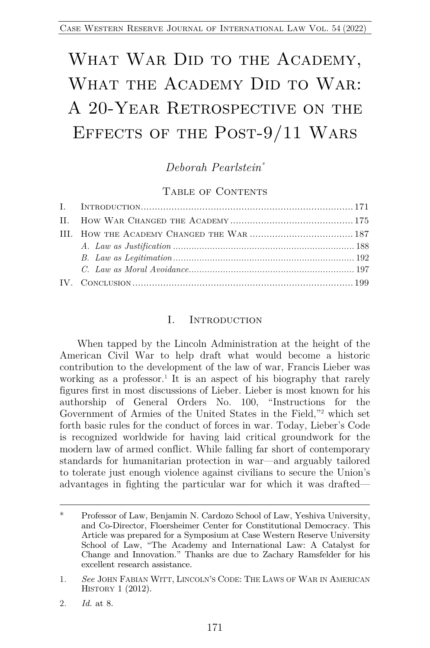# WHAT WAR DID TO THE ACADEMY, WHAT THE ACADEMY DID TO WAR: A 20-YEAR RETROSPECTIVE ON THE Effects of the Post-9/11 Wars

*Deborah Pearlstein\**

### TABLE OF CONTENTS

#### I. INTRODUCTION

When tapped by the Lincoln Administration at the height of the American Civil War to help draft what would become a historic contribution to the development of the law of war, Francis Lieber was working as a professor.<sup>1</sup> It is an aspect of his biography that rarely figures first in most discussions of Lieber. Lieber is most known for his authorship of General Orders No. 100, "Instructions for the Government of Armies of the United States in the Field,"2 which set forth basic rules for the conduct of forces in war. Today, Lieber's Code is recognized worldwide for having laid critical groundwork for the modern law of armed conflict. While falling far short of contemporary standards for humanitarian protection in war—and arguably tailored to tolerate just enough violence against civilians to secure the Union's advantages in fighting the particular war for which it was drafted—

<sup>\*</sup> Professor of Law, Benjamin N. Cardozo School of Law, Yeshiva University, and Co-Director, Floersheimer Center for Constitutional Democracy. This Article was prepared for a Symposium at Case Western Reserve University School of Law, "The Academy and International Law: A Catalyst for Change and Innovation." Thanks are due to Zachary Ramsfelder for his excellent research assistance.

<sup>1.</sup> *See* JOHN FABIAN WITT, LINCOLN'S CODE: THE LAWS OF WAR IN AMERICAN HISTORY 1 (2012).

<sup>2.</sup> *Id.* at 8.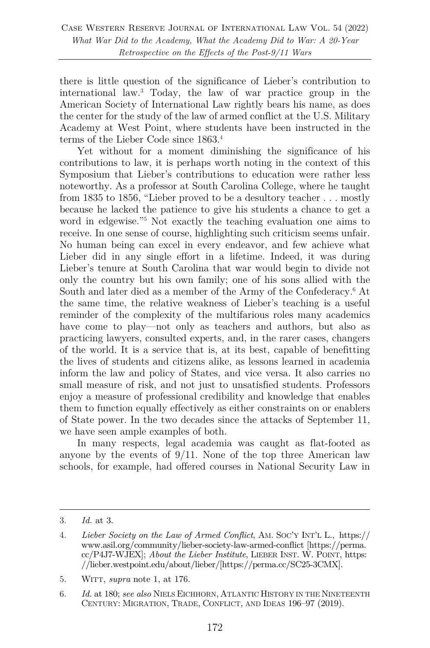there is little question of the significance of Lieber's contribution to international law.3 Today, the law of war practice group in the American Society of International Law rightly bears his name, as does the center for the study of the law of armed conflict at the U.S. Military Academy at West Point, where students have been instructed in the terms of the Lieber Code since 1863.4

Yet without for a moment diminishing the significance of his contributions to law, it is perhaps worth noting in the context of this Symposium that Lieber's contributions to education were rather less noteworthy. As a professor at South Carolina College, where he taught from 1835 to 1856, "Lieber proved to be a desultory teacher . . . mostly because he lacked the patience to give his students a chance to get a word in edgewise."5 Not exactly the teaching evaluation one aims to receive. In one sense of course, highlighting such criticism seems unfair. No human being can excel in every endeavor, and few achieve what Lieber did in any single effort in a lifetime. Indeed, it was during Lieber's tenure at South Carolina that war would begin to divide not only the country but his own family; one of his sons allied with the South and later died as a member of the Army of the Confederacy.<sup>6</sup> At the same time, the relative weakness of Lieber's teaching is a useful reminder of the complexity of the multifarious roles many academics have come to play—not only as teachers and authors, but also as practicing lawyers, consulted experts, and, in the rarer cases, changers of the world. It is a service that is, at its best, capable of benefitting the lives of students and citizens alike, as lessons learned in academia inform the law and policy of States, and vice versa. It also carries no small measure of risk, and not just to unsatisfied students. Professors enjoy a measure of professional credibility and knowledge that enables them to function equally effectively as either constraints on or enablers of State power. In the two decades since the attacks of September 11, we have seen ample examples of both.

In many respects, legal academia was caught as flat-footed as anyone by the events of  $9/11$ . None of the top three American law schools, for example, had offered courses in National Security Law in

<sup>3.</sup> *Id.* at 3.

<sup>4.</sup> *Lieber Society on the Law of Armed Conflict*, AM. SOC'Y INT'L L., https:// www.asil.org/community/lieber-society-law-armed-conflict [https://perma. cc/P4J7-WJEX]; *About the Lieber Institute*, LIEBER INST. W. POINT, https: //lieber.westpoint.edu/about/lieber/[https://perma.cc/SC25-3CMX].

<sup>5.</sup> WITT, *supra* note 1, at 176.

<sup>6.</sup> *Id.* at 180; *see also* NIELS EICHHORN, ATLANTIC HISTORY IN THE NINETEENTH CENTURY: MIGRATION, TRADE, CONFLICT, AND IDEAS 196–97 (2019).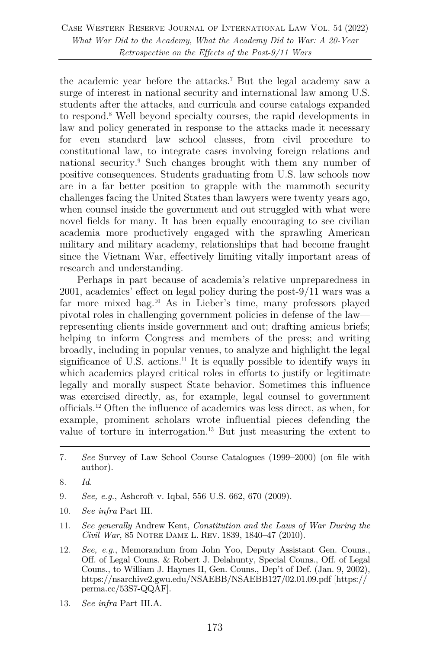the academic year before the attacks.7 But the legal academy saw a surge of interest in national security and international law among U.S. students after the attacks, and curricula and course catalogs expanded to respond.8 Well beyond specialty courses, the rapid developments in law and policy generated in response to the attacks made it necessary for even standard law school classes, from civil procedure to constitutional law, to integrate cases involving foreign relations and national security.9 Such changes brought with them any number of positive consequences. Students graduating from U.S. law schools now are in a far better position to grapple with the mammoth security challenges facing the United States than lawyers were twenty years ago, when counsel inside the government and out struggled with what were novel fields for many. It has been equally encouraging to see civilian academia more productively engaged with the sprawling American military and military academy, relationships that had become fraught since the Vietnam War, effectively limiting vitally important areas of research and understanding.

Perhaps in part because of academia's relative unpreparedness in 2001, academics' effect on legal policy during the post-9/11 wars was a far more mixed bag.10 As in Lieber's time, many professors played pivotal roles in challenging government policies in defense of the law representing clients inside government and out; drafting amicus briefs; helping to inform Congress and members of the press; and writing broadly, including in popular venues, to analyze and highlight the legal significance of U.S. actions.<sup>11</sup> It is equally possible to identify ways in which academics played critical roles in efforts to justify or legitimate legally and morally suspect State behavior. Sometimes this influence was exercised directly, as, for example, legal counsel to government officials.12 Often the influence of academics was less direct, as when, for example, prominent scholars wrote influential pieces defending the value of torture in interrogation.13 But just measuring the extent to

- 9. *See, e.g.*, Ashcroft v. Iqbal, 556 U.S. 662, 670 (2009).
- 10. *See infra* Part III.
- 11. *See generally* Andrew Kent, *Constitution and the Laws of War During the Civil War*, 85 NOTRE DAME L. REV. 1839, 1840–47 (2010).
- 12. *See, e.g.*, Memorandum from John Yoo, Deputy Assistant Gen. Couns., Off. of Legal Couns. & Robert J. Delahunty, Special Couns., Off. of Legal Couns., to William J. Haynes II, Gen. Couns., Dep't of Def. (Jan. 9, 2002), https://nsarchive2.gwu.edu/NSAEBB/NSAEBB127/02.01.09.pdf [https:// perma.cc/53S7-QQAF].
- 13. *See infra* Part III.A.

<sup>7.</sup> *See* Survey of Law School Course Catalogues (1999–2000) (on file with author).

<sup>8.</sup> *Id.*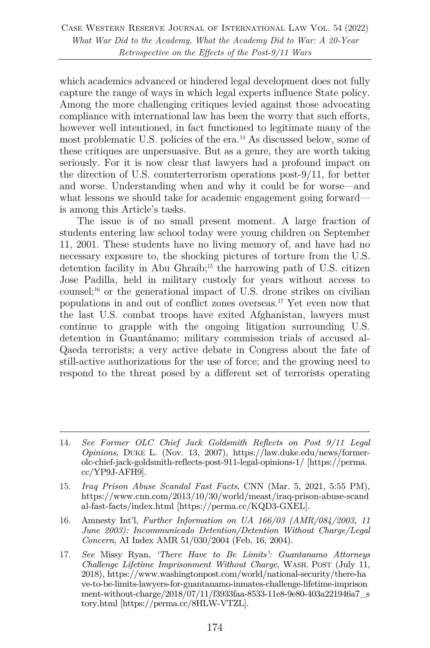which academics advanced or hindered legal development does not fully capture the range of ways in which legal experts influence State policy. Among the more challenging critiques levied against those advocating compliance with international law has been the worry that such efforts, however well intentioned, in fact functioned to legitimate many of the most problematic U.S. policies of the era.<sup>14</sup> As discussed below, some of these critiques are unpersuasive. But as a genre, they are worth taking seriously. For it is now clear that lawyers had a profound impact on the direction of U.S. counterterrorism operations post-9/11, for better and worse. Understanding when and why it could be for worse—and what lessons we should take for academic engagement going forward is among this Article's tasks.

The issue is of no small present moment. A large fraction of students entering law school today were young children on September 11, 2001. These students have no living memory of, and have had no necessary exposure to, the shocking pictures of torture from the U.S. detention facility in Abu Ghraib;15 the harrowing path of U.S. citizen Jose Padilla, held in military custody for years without access to counsel;16 or the generational impact of U.S. drone strikes on civilian populations in and out of conflict zones overseas.17 Yet even now that the last U.S. combat troops have exited Afghanistan, lawyers must continue to grapple with the ongoing litigation surrounding U.S. detention in Guantánamo; military commission trials of accused al-Qaeda terrorists; a very active debate in Congress about the fate of still-active authorizations for the use of force; and the growing need to respond to the threat posed by a different set of terrorists operating

<sup>14.</sup> *See Former OLC Chief Jack Goldsmith Reflects on Post 9/11 Legal Opinions*, DUKE L. (Nov. 13, 2007), https://law.duke.edu/news/formerolc-chief-jack-goldsmith-reflects-post-911-legal-opinions-1/ [https://perma. cc/YP9J-AFH9].

<sup>15.</sup> *Iraq Prison Abuse Scandal Fast Facts*, CNN (Mar. 5, 2021, 5:55 PM), https://www.cnn.com/2013/10/30/world/meast/iraq-prison-abuse-scand al-fast-facts/index.html [https://perma.cc/KQD3-GXEL].

<sup>16.</sup> Amnesty Int'l, *Further Information on UA 166/03 (AMR/084/2003, 11 June 2003): Incommunicado Detention/Detention Without Charge/Legal Concern*, AI Index AMR 51/030/2004 (Feb. 16, 2004).

<sup>17.</sup> *See* Missy Ryan, *'There Have to Be Limits': Guantanamo Attorneys Challenge Lifetime Imprisonment Without Charge*, WASH. POST (July 11, 2018), https://www.washingtonpost.com/world/national-security/there-ha ve-to-be-limits-lawyers-for-guantanamo-inmates-challenge-lifetime-imprison ment-without-charge/2018/07/11/f3933faa-8533-11e8-9e80-403a221946a7\_s tory.html [https://perma.cc/8HLW-VTZL].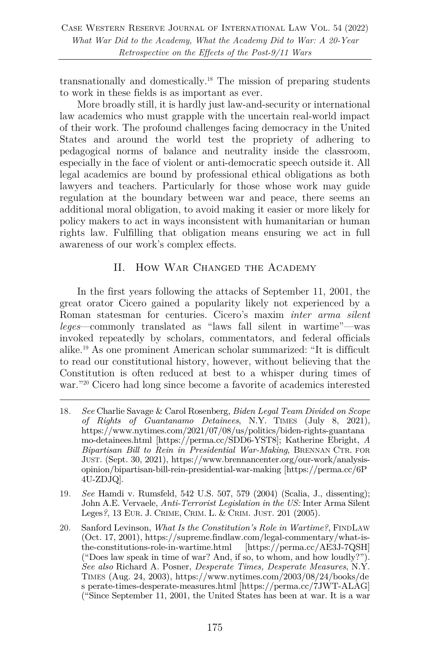transnationally and domestically.18 The mission of preparing students to work in these fields is as important as ever.

More broadly still, it is hardly just law-and-security or international law academics who must grapple with the uncertain real-world impact of their work. The profound challenges facing democracy in the United States and around the world test the propriety of adhering to pedagogical norms of balance and neutrality inside the classroom, especially in the face of violent or anti-democratic speech outside it. All legal academics are bound by professional ethical obligations as both lawyers and teachers. Particularly for those whose work may guide regulation at the boundary between war and peace, there seems an additional moral obligation, to avoid making it easier or more likely for policy makers to act in ways inconsistent with humanitarian or human rights law. Fulfilling that obligation means ensuring we act in full awareness of our work's complex effects.

## II. How War Changed the Academy

In the first years following the attacks of September 11, 2001, the great orator Cicero gained a popularity likely not experienced by a Roman statesman for centuries. Cicero's maxim *inter arma silent leges*—commonly translated as "laws fall silent in wartime"—was invoked repeatedly by scholars, commentators, and federal officials alike.19 As one prominent American scholar summarized: "It is difficult to read our constitutional history, however, without believing that the Constitution is often reduced at best to a whisper during times of war."<sup>20</sup> Cicero had long since become a favorite of academics interested

- 19. *See* Hamdi v. Rumsfeld, 542 U.S. 507, 579 (2004) (Scalia, J., dissenting); John A.E. Vervaele, *Anti-Terrorist Legislation in the US:* Inter Arma Silent Leges*?*, 13 EUR. J. CRIME, CRIM. L. & CRIM. JUST. 201 (2005).
- 20. Sanford Levinson, *What Is the Constitution's Role in Wartime?*, FINDLAW (Oct. 17, 2001), https://supreme.findlaw.com/legal-commentary/what-isthe-constitutions-role-in-wartime.html [https://perma.cc/AE3J-7QSH] ("Does law speak in time of war? And, if so, to whom, and how loudly?"). *See also* Richard A. Posner, *Desperate Times, Desperate Measures*, N.Y. TIMES (Aug. 24, 2003), https://www.nytimes.com/2003/08/24/books/de s perate-times-desperate-measures.html [https://perma.cc/7JWT-ALAG] ("Since September 11, 2001, the United States has been at war. It is a war

<sup>18</sup>*. See* Charlie Savage & Carol Rosenberg, *Biden Legal Team Divided on Scope of Rights of Guantanamo Detainees*, N.Y. TIMES (July 8, 2021), https://www.nytimes.com/2021/07/08/us/politics/biden-rights-guantana mo-detainees.html [https://perma.cc/SDD6-YST8]; Katherine Ebright, *A Bipartisan Bill to Rein in Presidential War-Making*, BRENNAN CTR. FOR JUST. (Sept. 30, 2021), https://www.brennancenter.org/our-work/analysisopinion/bipartisan-bill-rein-presidential-war-making [https://perma.cc/6P 4U-ZDJQ].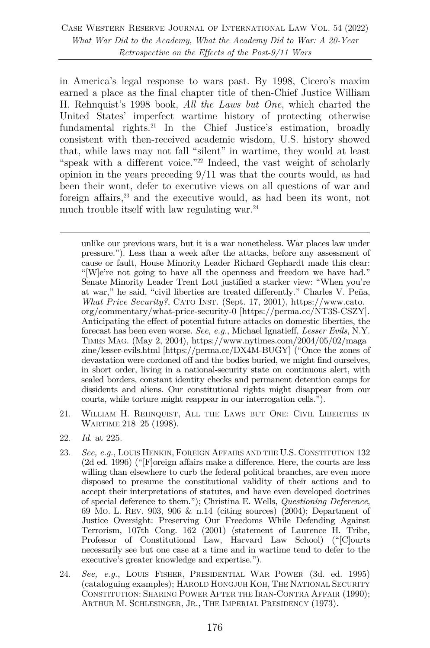in America's legal response to wars past. By 1998, Cicero's maxim earned a place as the final chapter title of then-Chief Justice William H. Rehnquist's 1998 book, *All the Laws but One*, which charted the United States' imperfect wartime history of protecting otherwise fundamental rights.<sup>21</sup> In the Chief Justice's estimation, broadly consistent with then-received academic wisdom, U.S. history showed that, while laws may not fall "silent" in wartime, they would at least "speak with a different voice."<sup>22</sup> Indeed, the vast weight of scholarly opinion in the years preceding 9/11 was that the courts would, as had been their wont, defer to executive views on all questions of war and foreign affairs, <sup>23</sup> and the executive would, as had been its wont, not much trouble itself with law regulating war. $24$ 

unlike our previous wars, but it is a war nonetheless. War places law under pressure."). Less than a week after the attacks, before any assessment of cause or fault, House Minority Leader Richard Gephardt made this clear: "[W]e're not going to have all the openness and freedom we have had." Senate Minority Leader Trent Lott justified a starker view: "When you're at war," he said, "civil liberties are treated differently." Charles V. Peña, *What Price Security?*, CATO INST. (Sept. 17, 2001), https://www.cato. org/commentary/what-price-security-0 [https://perma.cc/NT3S-CSZY]. Anticipating the effect of potential future attacks on domestic liberties, the forecast has been even worse. *See, e.g.*, Michael Ignatieff, *Lesser Evils*, N.Y. TIMES MAG. (May 2, 2004), https://www.nytimes.com/2004/05/02/maga zine/lesser-evils.html [https://perma.cc/DX4M-BUGY] ("Once the zones of devastation were cordoned off and the bodies buried, we might find ourselves, in short order, living in a national-security state on continuous alert, with sealed borders, constant identity checks and permanent detention camps for dissidents and aliens. Our constitutional rights might disappear from our courts, while torture might reappear in our interrogation cells.").

- 21. WILLIAM H. REHNQUIST, ALL THE LAWS BUT ONE: CIVIL LIBERTIES IN WARTIME 218–25 (1998).
- 22. *Id.* at 225.
- 23. *See, e.g.*, LOUIS HENKIN, FOREIGN AFFAIRS AND THE U.S. CONSTITUTION 132 (2d ed. 1996) ("[F]oreign affairs make a difference. Here, the courts are less willing than elsewhere to curb the federal political branches, are even more disposed to presume the constitutional validity of their actions and to accept their interpretations of statutes, and have even developed doctrines of special deference to them."); Christina E. Wells, *Questioning Deference*, 69 MO. L. REV. 903, 906 & n.14 (citing sources) (2004); Department of Justice Oversight: Preserving Our Freedoms While Defending Against Terrorism, 107th Cong. 162 (2001) (statement of Laurence H. Tribe, Professor of Constitutional Law, Harvard Law School) ("[C]ourts necessarily see but one case at a time and in wartime tend to defer to the executive's greater knowledge and expertise.").
- 24. *See, e.g.*, LOUIS FISHER, PRESIDENTIAL WAR POWER (3d. ed. 1995) (cataloguing examples); HAROLD HONGJUH KOH, THE NATIONAL SECURITY CONSTITUTION: SHARING POWER AFTER THE IRAN-CONTRA AFFAIR (1990); ARTHUR M. SCHLESINGER, JR., THE IMPERIAL PRESIDENCY (1973).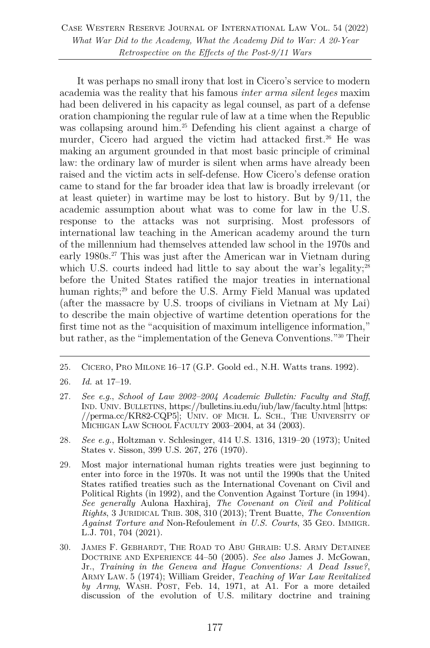Case Western Reserve Journal of International Law Vol. 54 (2022) *What War Did to the Academy, What the Academy Did to War: A 20-Year Retrospective on the Effects of the Post-9/11 Wars*

It was perhaps no small irony that lost in Cicero's service to modern academia was the reality that his famous *inter arma silent leges* maxim had been delivered in his capacity as legal counsel, as part of a defense oration championing the regular rule of law at a time when the Republic was collapsing around him.<sup>25</sup> Defending his client against a charge of murder, Cicero had argued the victim had attacked first.<sup>26</sup> He was making an argument grounded in that most basic principle of criminal law: the ordinary law of murder is silent when arms have already been raised and the victim acts in self-defense. How Cicero's defense oration came to stand for the far broader idea that law is broadly irrelevant (or at least quieter) in wartime may be lost to history. But by 9/11, the academic assumption about what was to come for law in the U.S. response to the attacks was not surprising. Most professors of international law teaching in the American academy around the turn of the millennium had themselves attended law school in the 1970s and early 1980s. <sup>27</sup> This was just after the American war in Vietnam during which U.S. courts indeed had little to say about the war's legality;<sup>28</sup> before the United States ratified the major treaties in international human rights;<sup>29</sup> and before the U.S. Army Field Manual was updated (after the massacre by U.S. troops of civilians in Vietnam at My Lai) to describe the main objective of wartime detention operations for the first time not as the "acquisition of maximum intelligence information," but rather, as the "implementation of the Geneva Conventions."30 Their

- 27. *See e.g.*, *School of Law 2002–2004 Academic Bulletin: Faculty and Staff*, IND. UNIV. BULLETINS, https://bulletins.iu.edu/iub/law/faculty.html [https: //perma.cc/KR82-CQP5]; UNIV. OF MICH. L. SCH., THE UNIVERSITY OF MICHIGAN LAW SCHOOL FACULTY 2003–2004, at 34 (2003).
- 28. *See e.g.*, Holtzman v. Schlesinger, 414 U.S. 1316, 1319–20 (1973); United States v. Sisson, 399 U.S. 267, 276 (1970).
- 29. Most major international human rights treaties were just beginning to enter into force in the 1970s. It was not until the 1990s that the United States ratified treaties such as the International Covenant on Civil and Political Rights (in 1992), and the Convention Against Torture (in 1994). *See generally* Aulona Haxhiraj, *The Covenant on Civil and Political Rights*, 3 JURIDICAL TRIB. 308, 310 (2013); Trent Buatte, *The Convention Against Torture and* Non-Refoulement *in U.S. Courts*, 35 GEO. IMMIGR. L.J. 701, 704 (2021).
- 30. JAMES F. GEBHARDT, THE ROAD TO ABU GHRAIB: U.S. ARMY DETAINEE DOCTRINE AND EXPERIENCE 44–50 (2005). *See also* James J. McGowan, Jr., *Training in the Geneva and Hague Conventions: A Dead Issue?*, ARMY LAW. 5 (1974); William Greider, *Teaching of War Law Revitalized by Army*, WASH. POST, Feb. 14, 1971, at A1. For a more detailed discussion of the evolution of U.S. military doctrine and training

<sup>25.</sup> CICERO, PRO MILONE 16–17 (G.P. Goold ed., N.H. Watts trans. 1992).

<sup>26.</sup> *Id.* at 17–19.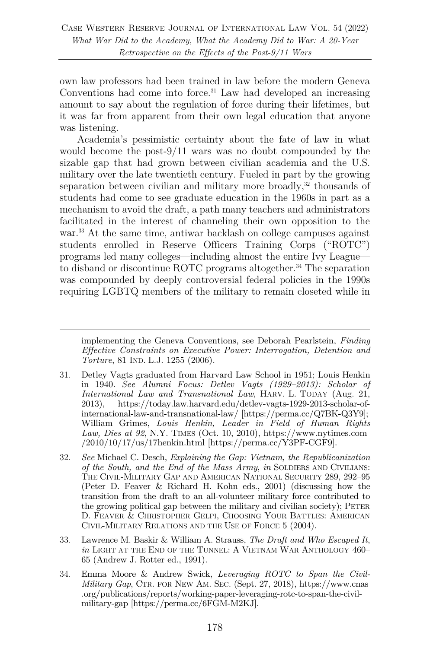own law professors had been trained in law before the modern Geneva Conventions had come into force. $31$  Law had developed an increasing amount to say about the regulation of force during their lifetimes, but it was far from apparent from their own legal education that anyone was listening.

Academia's pessimistic certainty about the fate of law in what would become the post-9/11 wars was no doubt compounded by the sizable gap that had grown between civilian academia and the U.S. military over the late twentieth century. Fueled in part by the growing separation between civilian and military more broadly,<sup>32</sup> thousands of students had come to see graduate education in the 1960s in part as a mechanism to avoid the draft, a path many teachers and administrators facilitated in the interest of channeling their own opposition to the war.<sup>33</sup> At the same time, antiwar backlash on college campuses against students enrolled in Reserve Officers Training Corps ("ROTC") programs led many colleges—including almost the entire Ivy League to disband or discontinue ROTC programs altogether. <sup>34</sup> The separation was compounded by deeply controversial federal policies in the 1990s requiring LGBTQ members of the military to remain closeted while in

- 31. Detley Vagts graduated from Harvard Law School in 1951; Louis Henkin in 1940. *See Alumni Focus: Detlev Vagts (1929–2013): Scholar of International Law and Transnational Law*, HARV. L. TODAY (Aug. 21, 2013), https://today.law.harvard.edu/detlev-vagts-1929-2013-scholar-ofinternational-law-and-transnational-law/ [https://perma.cc/Q7BK-Q3Y9]; William Grimes, *Louis Henkin, Leader in Field of Human Rights Law, Dies at 92*, N.Y. TIMES (Oct. 10, 2010), https://www.nytimes.com  $/2010/10/17/us/17$ henkin.html [https://perma.cc/Y3PF-CGF9].
- 32. *See* Michael C. Desch, *Explaining the Gap: Vietnam, the Republicanization of the South, and the End of the Mass Army*, *in* SOLDIERS AND CIVILIANS: THE CIVIL-MILITARY GAP AND AMERICAN NATIONAL SECURITY 289, 292–95 (Peter D. Feaver & Richard H. Kohn eds., 2001) (discussing how the transition from the draft to an all-volunteer military force contributed to the growing political gap between the military and civilian society); PETER D. FEAVER & CHRISTOPHER GELPI, CHOOSING YOUR BATTLES: AMERICAN CIVIL-MILITARY RELATIONS AND THE USE OF FORCE 5 (2004).
- 33. Lawrence M. Baskir & William A. Strauss, *The Draft and Who Escaped It*, *in* LIGHT AT THE END OF THE TUNNEL: A VIETNAM WAR ANTHOLOGY 460– 65 (Andrew J. Rotter ed., 1991).
- 34. Emma Moore & Andrew Swick, *Leveraging ROTC to Span the Civil-Military Gap*, CTR. FOR NEW AM. SEC. (Sept. 27, 2018), https://www.cnas .org/publications/reports/working-paper-leveraging-rotc-to-span-the-civilmilitary-gap [https://perma.cc/6FGM-M2KJ].

implementing the Geneva Conventions, see Deborah Pearlstein, *Finding Effective Constraints on Executive Power: Interrogation, Detention and Torture*, 81 IND. L.J. 1255 (2006).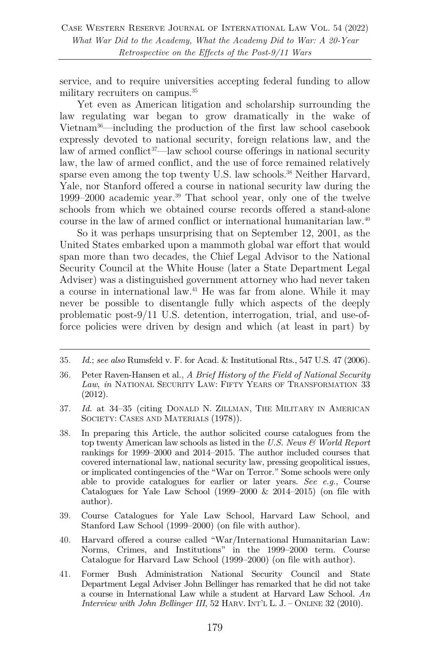service, and to require universities accepting federal funding to allow military recruiters on campus.<sup>35</sup>

Yet even as American litigation and scholarship surrounding the law regulating war began to grow dramatically in the wake of Vietnam36—including the production of the first law school casebook expressly devoted to national security, foreign relations law, and the law of armed conflict<sup>37—law</sup> school course offerings in national security law, the law of armed conflict, and the use of force remained relatively sparse even among the top twenty U.S. law schools.<sup>38</sup> Neither Harvard, Yale, nor Stanford offered a course in national security law during the 1999–2000 academic year.<sup>39</sup> That school year, only one of the twelve schools from which we obtained course records offered a stand-alone course in the law of armed conflict or international humanitarian law.40

So it was perhaps unsurprising that on September 12, 2001, as the United States embarked upon a mammoth global war effort that would span more than two decades, the Chief Legal Advisor to the National Security Council at the White House (later a State Department Legal Adviser) was a distinguished government attorney who had never taken a course in international law.41 He was far from alone. While it may never be possible to disentangle fully which aspects of the deeply problematic post-9/11 U.S. detention, interrogation, trial, and use-offorce policies were driven by design and which (at least in part) by

- 37. *Id.* at 34–35 (citing DONALD N. ZILLMAN, THE MILITARY IN AMERICAN SOCIETY: CASES AND MATERIALS  $(1978)$ ).
- 38. In preparing this Article, the author solicited course catalogues from the top twenty American law schools as listed in the *U.S. News & World Report* rankings for 1999–2000 and 2014–2015. The author included courses that covered international law, national security law, pressing geopolitical issues, or implicated contingencies of the "War on Terror." Some schools were only able to provide catalogues for earlier or later years. *See e.g.*, Course Catalogues for Yale Law School  $(1999-2000 \& 2014-2015)$  (on file with author).
- 39. Course Catalogues for Yale Law School, Harvard Law School, and Stanford Law School (1999–2000) (on file with author).
- 40. Harvard offered a course called "War/International Humanitarian Law: Norms, Crimes, and Institutions" in the 1999–2000 term. Course Catalogue for Harvard Law School (1999–2000) (on file with author).
- 41. Former Bush Administration National Security Council and State Department Legal Adviser John Bellinger has remarked that he did not take a course in International Law while a student at Harvard Law School. *An Interview with John Bellinger III*, 52 HARV. INT'L L. J. – ONLINE 32 (2010).

<sup>35.</sup> *Id.*; *see also* Rumsfeld v. F. for Acad. & Institutional Rts., 547 U.S. 47 (2006).

<sup>36.</sup> Peter Raven-Hansen et al., *A Brief History of the Field of National Security Law*, *in* NATIONAL SECURITY LAW: FIFTY YEARS OF TRANSFORMATION 33 (2012).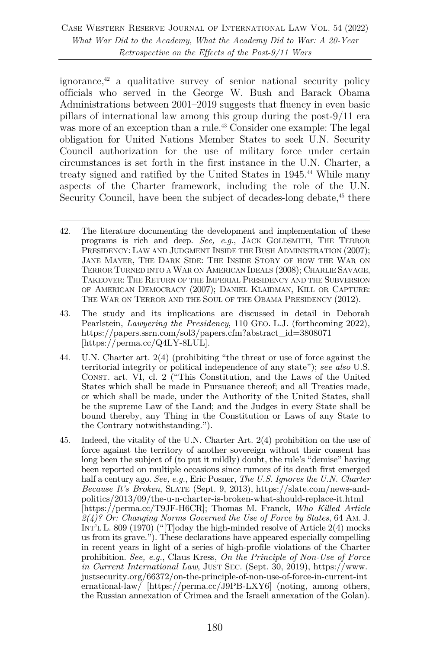ignorance, $42$  a qualitative survey of senior national security policy officials who served in the George W. Bush and Barack Obama Administrations between 2001–2019 suggests that fluency in even basic pillars of international law among this group during the post-9/11 era was more of an exception than a rule.<sup>43</sup> Consider one example: The legal obligation for United Nations Member States to seek U.N. Security Council authorization for the use of military force under certain circumstances is set forth in the first instance in the U.N. Charter, a treaty signed and ratified by the United States in 1945.<sup>44</sup> While many aspects of the Charter framework, including the role of the U.N. Security Council, have been the subject of decades-long debate,<sup>45</sup> there

- 44. U.N. Charter art. 2(4) (prohibiting "the threat or use of force against the territorial integrity or political independence of any state"); *see also* U.S. CONST. art. VI, cl. 2 ("This Constitution, and the Laws of the United States which shall be made in Pursuance thereof; and all Treaties made, or which shall be made, under the Authority of the United States, shall be the supreme Law of the Land; and the Judges in every State shall be bound thereby, any Thing in the Constitution or Laws of any State to the Contrary notwithstanding.").
- 45. Indeed, the vitality of the U.N. Charter Art. 2(4) prohibition on the use of force against the territory of another sovereign without their consent has long been the subject of (to put it mildly) doubt, the rule's "demise" having been reported on multiple occasions since rumors of its death first emerged half a century ago. *See, e.g.*, Eric Posner, *The U.S. Ignores the U.N. Charter Because It's Broken*, SLATE (Sept. 9, 2013), https://slate.com/news-andpolitics/2013/09/the-u-n-charter-is-broken-what-should-replace-it.html [https://perma.cc/T9JF-H6CR]; Thomas M. Franck, *Who Killed Article 2(4)? Or: Changing Norms Governed the Use of Force by States*, 64 AM. J. INT'L L. 809  $(1970)$  ("Today the high-minded resolve of Article 2(4) mocks us from its grave."). These declarations have appeared especially compelling in recent years in light of a series of high-profile violations of the Charter prohibition. *See, e.g.*, Claus Kress, *On the Principle of Non-Use of Force in Current International Law*, JUST SEC. (Sept. 30, 2019), https://www. justsecurity.org/66372/on-the-principle-of-non-use-of-force-in-current-int ernational-law/ [https://perma.cc/J9PB-LXY6] (noting, among others, the Russian annexation of Crimea and the Israeli annexation of the Golan).

<sup>42.</sup> The literature documenting the development and implementation of these programs is rich and deep. *See, e.g.*, JACK GOLDSMITH, THE TERROR PRESIDENCY: LAW AND JUDGMENT INSIDE THE BUSH ADMINISTRATION (2007); JANE MAYER, THE DARK SIDE: THE INSIDE STORY OF HOW THE WAR ON TERROR TURNED INTO A WAR ON AMERICAN IDEALS (2008); CHARLIE SAVAGE, TAKEOVER: THE RETURN OF THE IMPERIAL PRESIDENCY AND THE SUBVERSION OF AMERICAN DEMOCRACY (2007); DANIEL KLAIDMAN, KILL OR CAPTURE: THE WAR ON TERROR AND THE SOUL OF THE OBAMA PRESIDENCY (2012).

<sup>43.</sup> The study and its implications are discussed in detail in Deborah Pearlstein, *Lawyering the Presidency*, 110 GEO. L.J. (forthcoming 2022), https://papers.ssrn.com/sol3/papers.cfm?abstract\_id=3808071 [https://perma.cc/Q4LY-8LUL].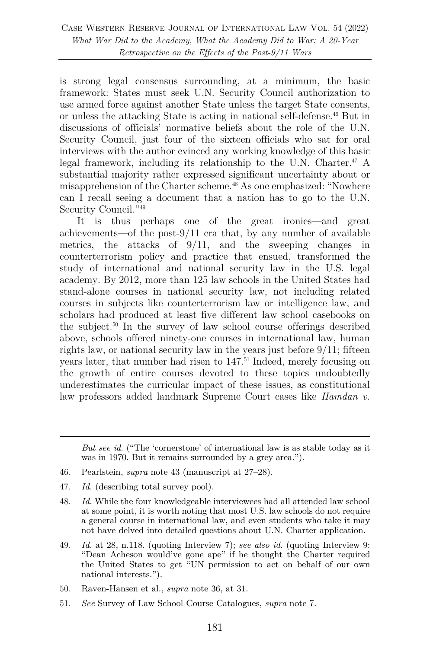is strong legal consensus surrounding, at a minimum, the basic framework: States must seek U.N. Security Council authorization to use armed force against another State unless the target State consents, or unless the attacking State is acting in national self-defense.46 But in discussions of officials' normative beliefs about the role of the U.N. Security Council, just four of the sixteen officials who sat for oral interviews with the author evinced any working knowledge of this basic legal framework, including its relationship to the U.N. Charter.<sup>47</sup> A substantial majority rather expressed significant uncertainty about or misapprehension of the Charter scheme.<sup>48</sup> As one emphasized: "Nowhere can I recall seeing a document that a nation has to go to the U.N. Security Council."49

It is thus perhaps one of the great ironies—and great achievements—of the post-9/11 era that, by any number of available metrics, the attacks of 9/11, and the sweeping changes in counterterrorism policy and practice that ensued, transformed the study of international and national security law in the U.S. legal academy. By 2012, more than 125 law schools in the United States had stand-alone courses in national security law, not including related courses in subjects like counterterrorism law or intelligence law, and scholars had produced at least five different law school casebooks on the subject.50 In the survey of law school course offerings described above, schools offered ninety-one courses in international law, human rights law, or national security law in the years just before 9/11; fifteen years later, that number had risen to  $147<sup>51</sup>$  Indeed, merely focusing on the growth of entire courses devoted to these topics undoubtedly underestimates the curricular impact of these issues, as constitutional law professors added landmark Supreme Court cases like *Hamdan v.* 

- 46. Pearlstein, *supra* note 43 (manuscript at 27–28).
- 47. *Id.* (describing total survey pool).
- 48. *Id.* While the four knowledgeable interviewees had all attended law school at some point, it is worth noting that most U.S. law schools do not require a general course in international law, and even students who take it may not have delved into detailed questions about U.N. Charter application.
- 49. *Id.* at 28, n.118. (quoting Interview 7); *see also id.* (quoting Interview 9: "Dean Acheson would've gone ape" if he thought the Charter required the United States to get "UN permission to act on behalf of our own national interests.").
- 50. Raven-Hansen et al., *supra* note 36, at 31.
- 51. *See* Survey of Law School Course Catalogues, *supra* note 7.

*But see id.* ("The 'cornerstone' of international law is as stable today as it was in 1970. But it remains surrounded by a grey area.").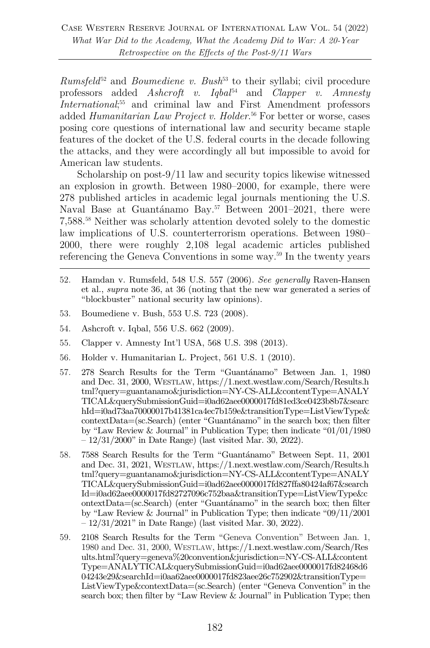*Rumsfeld*<sup>52</sup> and *Boumediene v. Bush*<sup>53</sup> to their syllabi; civil procedure professors added *Ashcroft v. Iqbal*<sup>54</sup> and *Clapper v. Amnesty International*<sup>55</sup> and criminal law and First Amendment professors added *Humanitarian Law Project v. Holder*. <sup>56</sup> For better or worse, cases posing core questions of international law and security became staple features of the docket of the U.S. federal courts in the decade following the attacks, and they were accordingly all but impossible to avoid for American law students.

Scholarship on post-9/11 law and security topics likewise witnessed an explosion in growth. Between 1980–2000, for example, there were 278 published articles in academic legal journals mentioning the U.S. Naval Base at Guantánamo Bay.<sup>57</sup> Between 2001–2021, there were 7,588. <sup>58</sup> Neither was scholarly attention devoted solely to the domestic law implications of U.S. counterterrorism operations. Between 1980– 2000, there were roughly 2,108 legal academic articles published referencing the Geneva Conventions in some way.<sup>59</sup> In the twenty years

- 52. Hamdan v. Rumsfeld, 548 U.S. 557 (2006). *See generally* Raven-Hansen et al., *supra* note 36, at 36 (noting that the new war generated a series of "blockbuster" national security law opinions).
- 53. Boumediene v. Bush, 553 U.S. 723 (2008).
- 54. Ashcroft v. Iqbal, 556 U.S. 662 (2009).
- 55. Clapper v. Amnesty Int'l USA, 568 U.S. 398 (2013).
- 56. Holder v. Humanitarian L. Project, 561 U.S. 1 (2010).
- 57. 278 Search Results for the Term "Guantánamo" Between Jan. 1, 1980 and Dec. 31, 2000, WESTLAW, https://1.next.westlaw.com/Search/Results.h tml?query=guantanamo&jurisdiction=NY-CS-ALL&contentType=ANALY TICAL&querySubmissionGuid=i0ad62aee0000017fd81ed3ce0423b8b7&searc hId=i0ad73aa70000017b41381ca4ec7b159e&transitionType=ListViewType& contextData=(sc.Search) (enter "Guantánamo" in the search box; then filter by "Law Review & Journal" in Publication Type; then indicate "01/01/1980 – 12/31/2000" in Date Range) (last visited Mar. 30, 2022).
- 58. 7588 Search Results for the Term "Guantánamo" Between Sept. 11, 2001 and Dec. 31, 2021, WESTLAW, https://1.next.westlaw.com/Search/Results.h tml?query=guantanamo&jurisdiction=NY-CS-ALL&contentType=ANALY TICAL&querySubmissionGuid=i0ad62aee0000017fd827ffa80424af67&search Id=i0ad62aee0000017fd82727096c752baa&transitionType=ListViewType&c ontextData=(sc.Search) (enter "Guantánamo" in the search box; then filter by "Law Review & Journal" in Publication Type; then indicate "09/11/2001 – 12/31/2021" in Date Range) (last visited Mar. 30, 2022).
- 59. 2108 Search Results for the Term "Geneva Convention" Between Jan. 1, 1980 and Dec. 31, 2000, WESTLAW, https://1.next.westlaw.com/Search/Res ults.html?query=geneva%20convention&jurisdiction=NY-CS-ALL&content Type=ANALYTICAL&querySubmissionGuid=i0ad62aee0000017fd82468d6 04243e29&searchId=i0aa62aee0000017fd823aee26c752902&transitionType= ListViewType&contextData=(sc.Search) (enter "Geneva Convention" in the search box; then filter by "Law Review  $\&$  Journal" in Publication Type; then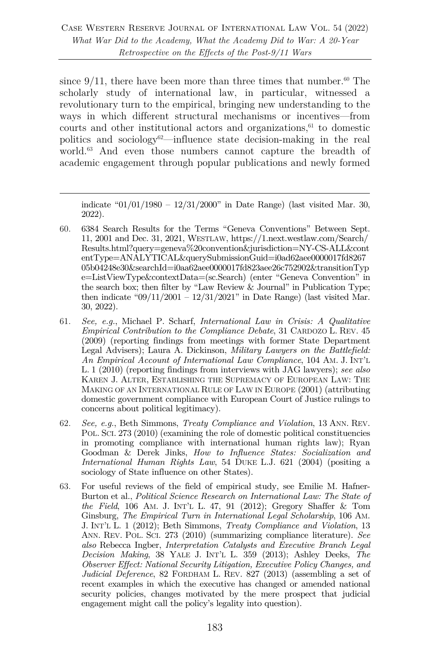since  $9/11$ , there have been more than three times that number.<sup>60</sup> The scholarly study of international law, in particular, witnessed a revolutionary turn to the empirical, bringing new understanding to the ways in which different structural mechanisms or incentives—from courts and other institutional actors and organizations, $61$  to domestic politics and sociology<sup>62</sup>—influence state decision-making in the real world.<sup>63</sup> And even those numbers cannot capture the breadth of academic engagement through popular publications and newly formed

indicate " $01/01/1980 - 12/31/2000$ " in Date Range) (last visited Mar. 30, 2022).

- 60. 6384 Search Results for the Terms "Geneva Conventions" Between Sept. 11, 2001 and Dec. 31, 2021, WESTLAW, https://1.next.westlaw.com/Search/ Results.html?query=geneva%20convention&jurisdiction=NY-CS-ALL&cont entType=ANALYTICAL&querySubmissionGuid=i0ad62aee0000017fd8267 05b04248e30&searchId=i0aa62aee0000017fd823aee26c752902&transitionTyp e=ListViewType&contextData=(sc.Search) (enter "Geneva Convention" in the search box; then filter by "Law Review  $\&$  Journal" in Publication Type; then indicate " $09/11/2001 - 12/31/2021$ " in Date Range) (last visited Mar. 30, 2022).
- 61. *See, e.g.*, Michael P. Scharf, *International Law in Crisis: A Qualitative Empirical Contribution to the Compliance Debate*, 31 CARDOZO L. REV. 45 (2009) (reporting findings from meetings with former State Department Legal Advisers); Laura A. Dickinson, *Military Lawyers on the Battlefield: An Empirical Account of International Law Compliance*, 104 AM. J. INT'L L. 1 (2010) (reporting findings from interviews with JAG lawyers); *see also* KAREN J. ALTER, ESTABLISHING THE SUPREMACY OF EUROPEAN LAW: THE MAKING OF AN INTERNATIONAL RULE OF LAW IN EUROPE (2001) (attributing domestic government compliance with European Court of Justice rulings to concerns about political legitimacy).
- 62. *See, e.g.*, Beth Simmons, *Treaty Compliance and Violation*, 13 ANN. REV. POL. SCI. 273 (2010) (examining the role of domestic political constituencies in promoting compliance with international human rights law); Ryan Goodman & Derek Jinks, *How to Influence States: Socialization and International Human Rights Law*, 54 DUKE L.J. 621 (2004) (positing a sociology of State influence on other States).
- 63. For useful reviews of the field of empirical study, see Emilie M. Hafner-Burton et al., *Political Science Research on International Law: The State of the Field*, 106 AM. J. INT'L L. 47, 91 (2012); Gregory Shaffer & Tom Ginsburg, *The Empirical Turn in International Legal Scholarship*, 106 AM. J. INT'L L. 1 (2012); Beth Simmons, *Treaty Compliance and Violation*, 13 ANN. REV. POL. SCI. 273 (2010) (summarizing compliance literature). *See also* Rebecca Ingber, *Interpretation Catalysts and Executive Branch Legal Decision Making*, 38 YALE J. INT'L L. 359 (2013); Ashley Deeks, *The Observer Effect: National Security Litigation, Executive Policy Changes, and Judicial Deference*, 82 FORDHAM L. REV. 827 (2013) (assembling a set of recent examples in which the executive has changed or amended national security policies, changes motivated by the mere prospect that judicial engagement might call the policy's legality into question).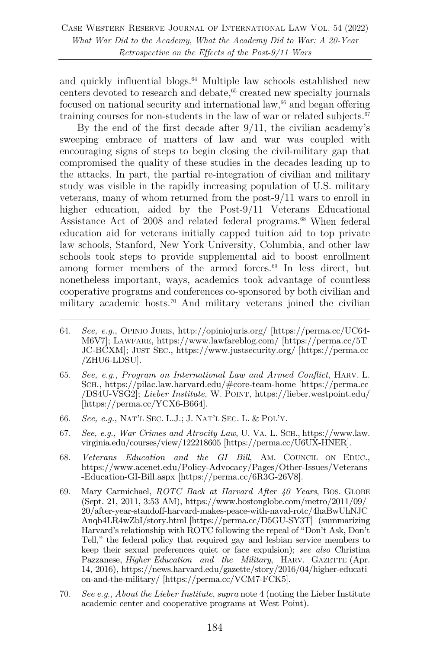and quickly influential blogs. <sup>64</sup> Multiple law schools established new centers devoted to research and debate,<sup>65</sup> created new specialty journals focused on national security and international  $law<sub>66</sub>$  and began offering training courses for non-students in the law of war or related subjects. $67$ 

By the end of the first decade after 9/11, the civilian academy's sweeping embrace of matters of law and war was coupled with encouraging signs of steps to begin closing the civil-military gap that compromised the quality of these studies in the decades leading up to the attacks. In part, the partial re-integration of civilian and military study was visible in the rapidly increasing population of U.S. military veterans, many of whom returned from the post-9/11 wars to enroll in higher education, aided by the Post-9/11 Veterans Educational Assistance Act of 2008 and related federal programs.<sup>68</sup> When federal education aid for veterans initially capped tuition aid to top private law schools, Stanford, New York University, Columbia, and other law schools took steps to provide supplemental aid to boost enrollment among former members of the armed forces. $69$  In less direct, but nonetheless important, ways, academics took advantage of countless cooperative programs and conferences co-sponsored by both civilian and military academic hosts.<sup>70</sup> And military veterans joined the civilian

- 64. *See, e.g.*, OPINIO JURIS, http://opiniojuris.org/ [https://perma.cc/UC64- M6V7]; LAWFARE, https://www.lawfareblog.com/ [https://perma.cc/5T JC-BCXM]; JUST SEC., https://www.justsecurity.org/ [https://perma.cc /ZHU6-LDSU].
- 65. *See, e.g.*, *Program on International Law and Armed Conflict*, HARV. L. SCH., https://pilac.law.harvard.edu/#core-team-home [https://perma.cc /DS4U-VSG2]; *Lieber Institute*, W. POINT, https://lieber.westpoint.edu/ [https://perma.cc/YCX6-B664].
- 66. *See, e.g.*, NAT'L SEC. L.J.; J. NAT'L SEC. L. & POL'Y.
- 67. *See, e.g.*, *War Crimes and Atrocity Law*, U. VA. L. SCH., https://www.law. virginia.edu/courses/view/122218605 [https://perma.cc/U6UX-HNER].
- 68. *Veterans Education and the GI Bill*, AM. COUNCIL ON EDUC., https://www.acenet.edu/Policy-Advocacy/Pages/Other-Issues/Veterans -Education-GI-Bill.aspx [https://perma.cc/6R3G-26V8].
- 69. Mary Carmichael, *ROTC Back at Harvard After 40 Years*, BOS. GLOBE (Sept. 21, 2011, 3:53 AM), https://www.bostonglobe.com/metro/2011/09/ 20/after-year-standoff-harvard-makes-peace-with-naval-rotc/4haBwUhNJC Anqb4LR4wZbI/story.html [https://perma.cc/D5GU-SY3T] (summarizing Harvard's relationship with ROTC following the repeal of "Don't Ask, Don't Tell," the federal policy that required gay and lesbian service members to keep their sexual preferences quiet or face expulsion); *see also* Christina Pazzanese, *Higher Education and the Military*, HARV. GAZETTE (Apr. 14, 2016), https://news.harvard.edu/gazette/story/2016/04/higher-educati on-and-the-military/ [https://perma.cc/VCM7-FCK5].
- 70. *See e.g.*, *About the Lieber Institute*, *supra* note 4 (noting the Lieber Institute academic center and cooperative programs at West Point).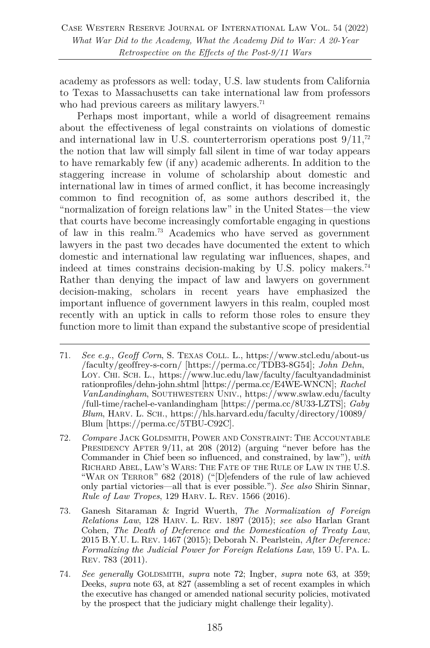academy as professors as well: today, U.S. law students from California to Texas to Massachusetts can take international law from professors who had previous careers as military lawyers.<sup>71</sup>

Perhaps most important, while a world of disagreement remains about the effectiveness of legal constraints on violations of domestic and international law in U.S. counterterrorism operations post  $9/11$ ,<sup>72</sup> the notion that law will simply fall silent in time of war today appears to have remarkably few (if any) academic adherents. In addition to the staggering increase in volume of scholarship about domestic and international law in times of armed conflict, it has become increasingly common to find recognition of, as some authors described it, the "normalization of foreign relations law" in the United States—the view that courts have become increasingly comfortable engaging in questions of law in this realm.73 Academics who have served as government lawyers in the past two decades have documented the extent to which domestic and international law regulating war influences, shapes, and indeed at times constrains decision-making by U.S. policy makers.<sup>74</sup> Rather than denying the impact of law and lawyers on government decision-making, scholars in recent years have emphasized the important influence of government lawyers in this realm, coupled most recently with an uptick in calls to reform those roles to ensure they function more to limit than expand the substantive scope of presidential

- 71. *See e.g.*, *Geoff Corn*, S. TEXAS COLL. L., https://www.stcl.edu/about-us /faculty/geoffrey-s-corn/ [https://perma.cc/TDB3-8G54]; *John Dehn*, LOY. CHI. SCH. L., https://www.luc.edu/law/faculty/facultyandadminist rationprofiles/dehn-john.shtml [https://perma.cc/E4WE-WNCN]; *Rachel VanLandingham*, SOUTHWESTERN UNIV., https://www.swlaw.edu/faculty /full-time/rachel-e-vanlandingham [https://perma.cc/8U33-LZTS]; *Gaby Blum*, HARV. L. SCH., https://hls.harvard.edu/faculty/directory/10089/ Blum [https://perma.cc/5TBU-C92C].
- 72. *Compare* JACK GOLDSMITH, POWER AND CONSTRAINT: THE ACCOUNTABLE PRESIDENCY AFTER 9/11, at 208 (2012) (arguing "never before has the Commander in Chief been so influenced, and constrained, by law"), *with* RICHARD ABEL, LAW'S WARS: THE FATE OF THE RULE OF LAW IN THE U.S. "WAR ON TERROR" 682 (2018) ("[D]efenders of the rule of law achieved only partial victories—all that is ever possible."). *See also* Shirin Sinnar, *Rule of Law Tropes*, 129 HARV. L. REV. 1566 (2016).
- 73. Ganesh Sitaraman & Ingrid Wuerth, *The Normalization of Foreign Relations Law*, 128 HARV. L. REV. 1897 (2015); *see also* Harlan Grant Cohen, *The Death of Deference and the Domestication of Treaty Law*, 2015 B.Y.U. L. REV. 1467 (2015); Deborah N. Pearlstein, *After Deference: Formalizing the Judicial Power for Foreign Relations Law*, 159 U. PA. L. REV. 783 (2011).
- 74. *See generally* GOLDSMITH, *supra* note 72; Ingber, *supra* note 63, at 359; Deeks, *supra* note 63, at 827 (assembling a set of recent examples in which the executive has changed or amended national security policies, motivated by the prospect that the judiciary might challenge their legality).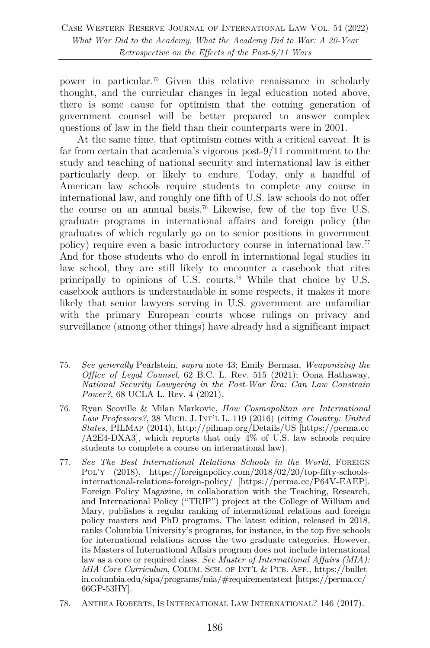power in particular.75 Given this relative renaissance in scholarly thought, and the curricular changes in legal education noted above, there is some cause for optimism that the coming generation of government counsel will be better prepared to answer complex questions of law in the field than their counterparts were in 2001.

At the same time, that optimism comes with a critical caveat. It is far from certain that academia's vigorous post-9/11 commitment to the study and teaching of national security and international law is either particularly deep, or likely to endure. Today, only a handful of American law schools require students to complete any course in international law, and roughly one fifth of U.S. law schools do not offer the course on an annual basis.76 Likewise, few of the top five U.S. graduate programs in international affairs and foreign policy (the graduates of which regularly go on to senior positions in government policy) require even a basic introductory course in international law.77 And for those students who do enroll in international legal studies in law school, they are still likely to encounter a casebook that cites principally to opinions of U.S. courts.78 While that choice by U.S. casebook authors is understandable in some respects, it makes it more likely that senior lawyers serving in U.S. government are unfamiliar with the primary European courts whose rulings on privacy and surveillance (among other things) have already had a significant impact

78. ANTHEA ROBERTS, IS INTERNATIONAL LAW INTERNATIONAL? 146 (2017).

<sup>75.</sup> *See generally* Pearlstein, *supra* note 43; Emily Berman, *Weaponizing the Office of Legal Counsel*, 62 B.C. L. Rev. 515 (2021); Oona Hathaway, *National Security Lawyering in the Post-War Era: Can Law Constrain Power?*, 68 UCLA L. Rev. 4 (2021).

<sup>76.</sup> Ryan Scoville & Milan Markovic, *How Cosmopolitan are International Law Professors?*, 38 MICH. J. INT'L L. 119 (2016) (citing *Country: United States*, PILMAP (2014), http://pilmap.org/Details/US [https://perma.cc /A2E4-DXA3], which reports that only 4% of U.S. law schools require students to complete a course on international law).

<sup>77.</sup> *See The Best International Relations Schools in the World*, FOREIGN POL'Y (2018), https://foreignpolicy.com/2018/02/20/top-fifty-schoolsinternational-relations-foreign-policy/ [https://perma.cc/P64V-EAEP]. Foreign Policy Magazine, in collaboration with the Teaching, Research, and International Policy ("TRIP") project at the College of William and Mary, publishes a regular ranking of international relations and foreign policy masters and PhD programs. The latest edition, released in 2018, ranks Columbia University's programs, for instance, in the top five schools for international relations across the two graduate categories. However, its Masters of International Affairs program does not include international law as a core or required class. *See Master of International Affairs (MIA): MIA Core Curriculum*, COLUM. SCH. OF INT'L & PUB. AFF., https://bullet in.columbia.edu/sipa/programs/mia/#requirementstext [https://perma.cc/ 66GP-53HY].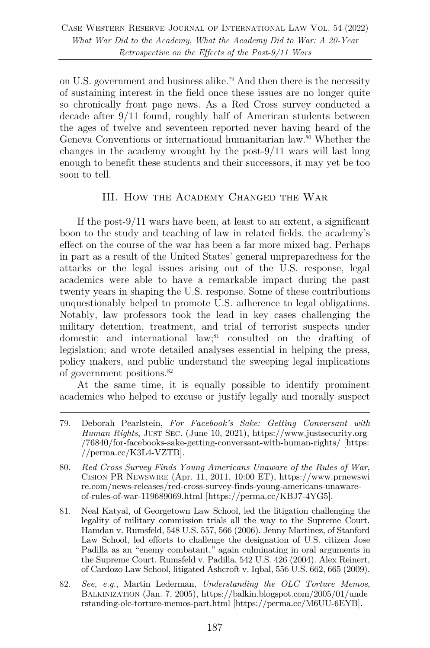on U.S. government and business alike.79 And then there is the necessity of sustaining interest in the field once these issues are no longer quite so chronically front page news. As a Red Cross survey conducted a decade after 9/11 found, roughly half of American students between the ages of twelve and seventeen reported never having heard of the Geneva Conventions or international humanitarian law.80 Whether the changes in the academy wrought by the post-9/11 wars will last long enough to benefit these students and their successors, it may yet be too soon to tell.

## III. How the Academy Changed the War

If the post-9/11 wars have been, at least to an extent, a significant boon to the study and teaching of law in related fields, the academy's effect on the course of the war has been a far more mixed bag. Perhaps in part as a result of the United States' general unpreparedness for the attacks or the legal issues arising out of the U.S. response, legal academics were able to have a remarkable impact during the past twenty years in shaping the U.S. response. Some of these contributions unquestionably helped to promote U.S. adherence to legal obligations. Notably, law professors took the lead in key cases challenging the military detention, treatment, and trial of terrorist suspects under domestic and international law; <sup>81</sup> consulted on the drafting of legislation; and wrote detailed analyses essential in helping the press, policy makers, and public understand the sweeping legal implications of government positions.82

At the same time, it is equally possible to identify prominent academics who helped to excuse or justify legally and morally suspect

82. *See, e.g.*, Martin Lederman, *Understanding the OLC Torture Memos*, BALKINIZATION (Jan. 7, 2005), https://balkin.blogspot.com/2005/01/unde rstanding-olc-torture-memos-part.html [https://perma.cc/M6UU-6EYB].

<sup>79.</sup> Deborah Pearlstein, *For Facebook's Sake: Getting Conversant with Human Rights*, JUST SEC. (June 10, 2021), https://www.justsecurity.org /76840/for-facebooks-sake-getting-conversant-with-human-rights/ [https: //perma.cc/K3L4-VZTB].

<sup>80.</sup> *Red Cross Survey Finds Young Americans Unaware of the Rules of War*, CISION PR NEWSWIRE (Apr. 11, 2011, 10:00 ET), https://www.prnewswi re.com/news-releases/red-cross-survey-finds-young-americans-unawareof-rules-of-war-119689069.html [https://perma.cc/KBJ7-4YG5].

<sup>81.</sup> Neal Katyal, of Georgetown Law School, led the litigation challenging the legality of military commission trials all the way to the Supreme Court. Hamdan v. Rumsfeld, 548 U.S. 557, 566 (2006). Jenny Martinez, of Stanford Law School, led efforts to challenge the designation of U.S. citizen Jose Padilla as an "enemy combatant," again culminating in oral arguments in the Supreme Court. Rumsfeld v. Padilla, 542 U.S. 426 (2004). Alex Reinert, of Cardozo Law School, litigated Ashcroft v. Iqbal, 556 U.S. 662, 665 (2009).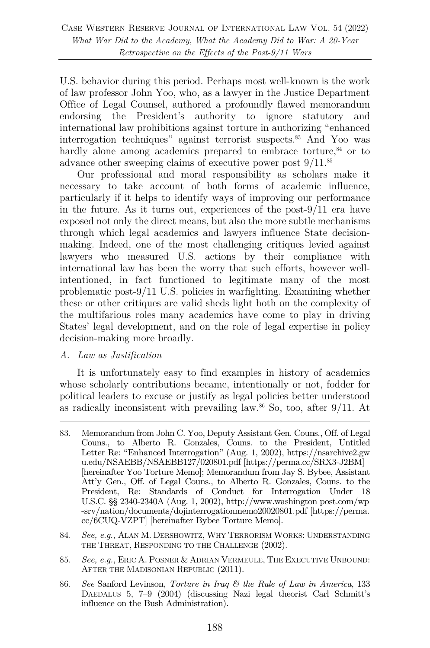U.S. behavior during this period. Perhaps most well-known is the work of law professor John Yoo, who, as a lawyer in the Justice Department Office of Legal Counsel, authored a profoundly flawed memorandum endorsing the President's authority to ignore statutory and international law prohibitions against torture in authorizing "enhanced interrogation techniques" against terrorist suspects.83 And Yoo was hardly alone among academics prepared to embrace torture,<sup>84</sup> or to advance other sweeping claims of executive power post 9/11.85

Our professional and moral responsibility as scholars make it necessary to take account of both forms of academic influence, particularly if it helps to identify ways of improving our performance in the future. As it turns out, experiences of the post-9/11 era have exposed not only the direct means, but also the more subtle mechanisms through which legal academics and lawyers influence State decisionmaking. Indeed, one of the most challenging critiques levied against lawyers who measured U.S. actions by their compliance with international law has been the worry that such efforts, however wellintentioned, in fact functioned to legitimate many of the most problematic post-9/11 U.S. policies in warfighting. Examining whether these or other critiques are valid sheds light both on the complexity of the multifarious roles many academics have come to play in driving States' legal development, and on the role of legal expertise in policy decision-making more broadly.

### *A. Law as Justification*

It is unfortunately easy to find examples in history of academics whose scholarly contributions became, intentionally or not, fodder for political leaders to excuse or justify as legal policies better understood as radically inconsistent with prevailing law.<sup>86</sup> So, too, after  $9/11$ . At

- 84. *See, e.g.*, ALAN M. DERSHOWITZ, WHY TERRORISM WORKS: UNDERSTANDING THE THREAT, RESPONDING TO THE CHALLENGE (2002).
- 85. *See, e.g.*, ERIC A. POSNER & ADRIAN VERMEULE, THE EXECUTIVE UNBOUND: AFTER THE MADISONIAN REPUBLIC (2011).
- 86. *See* Sanford Levinson, *Torture in Iraq & the Rule of Law in America*, 133 DAEDALUS 5, 7–9 (2004) (discussing Nazi legal theorist Carl Schmitt's influence on the Bush Administration).

<sup>83.</sup> Memorandum from John C. Yoo, Deputy Assistant Gen. Couns., Off. of Legal Couns., to Alberto R. Gonzales, Couns. to the President, Untitled Letter Re: "Enhanced Interrogation" (Aug. 1, 2002), https://nsarchive2.gw u.edu/NSAEBB/NSAEBB127/020801.pdf [https://perma.cc/SRX3-J2BM] [hereinafter Yoo Torture Memo]; Memorandum from Jay S. Bybee, Assistant Att'y Gen., Off. of Legal Couns., to Alberto R. Gonzales, Couns. to the President, Re: Standards of Conduct for Interrogation Under 18 U.S.C. §§ 2340-2340A (Aug. 1, 2002), http://www.washington post.com/wp -srv/nation/documents/dojinterrogationmemo20020801.pdf [https://perma. cc/6CUQ-VZPT] [hereinafter Bybee Torture Memo].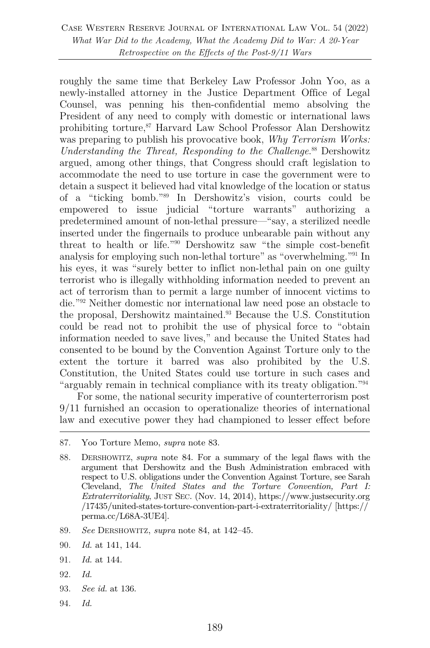roughly the same time that Berkeley Law Professor John Yoo, as a newly-installed attorney in the Justice Department Office of Legal Counsel, was penning his then-confidential memo absolving the President of any need to comply with domestic or international laws prohibiting torture,87 Harvard Law School Professor Alan Dershowitz was preparing to publish his provocative book, *Why Terrorism Works: Understanding the Threat, Responding to the Challenge*. <sup>88</sup> Dershowitz argued, among other things, that Congress should craft legislation to accommodate the need to use torture in case the government were to detain a suspect it believed had vital knowledge of the location or status of a "ticking bomb."89 In Dershowitz's vision, courts could be empowered to issue judicial "torture warrants" authorizing a predetermined amount of non-lethal pressure—"say, a sterilized needle inserted under the fingernails to produce unbearable pain without any threat to health or life."90 Dershowitz saw "the simple cost-benefit analysis for employing such non-lethal torture" as "overwhelming."91 In his eyes, it was "surely better to inflict non-lethal pain on one guilty terrorist who is illegally withholding information needed to prevent an act of terrorism than to permit a large number of innocent victims to die."92 Neither domestic nor international law need pose an obstacle to the proposal, Dershowitz maintained.93 Because the U.S. Constitution could be read not to prohibit the use of physical force to "obtain information needed to save lives," and because the United States had consented to be bound by the Convention Against Torture only to the extent the torture it barred was also prohibited by the U.S. Constitution, the United States could use torture in such cases and "arguably remain in technical compliance with its treaty obligation."94

For some, the national security imperative of counterterrorism post 9/11 furnished an occasion to operationalize theories of international law and executive power they had championed to lesser effect before

- 89. *See* DERSHOWITZ, *supra* note 84, at 142–45.
- 90. *Id.* at 141, 144.
- 91. *Id.* at 144.
- 92. *Id.*
- 93. *See id.* at 136.
- 94. *Id.*

<sup>87.</sup> Yoo Torture Memo, *supra* note 83.

<sup>88.</sup> DERSHOWITZ, *supra* note 84. For a summary of the legal flaws with the argument that Dershowitz and the Bush Administration embraced with respect to U.S. obligations under the Convention Against Torture, see Sarah Cleveland, *The United States and the Torture Convention, Part I: Extraterritoriality*, JUST SEC. (Nov. 14, 2014), https://www.justsecurity.org /17435/united-states-torture-convention-part-i-extraterritoriality/ [https:// perma.cc/L68A-3UE4].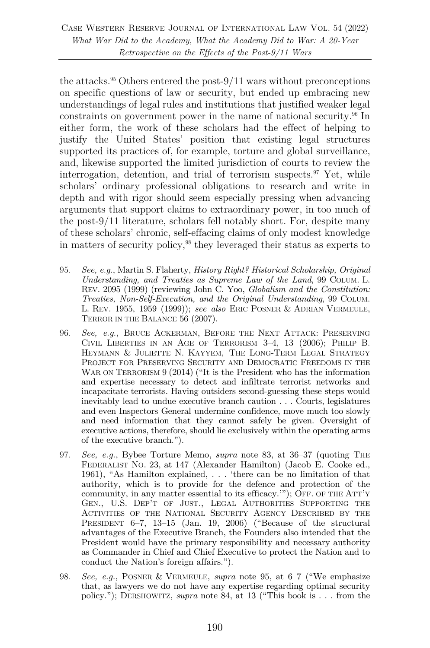Case Western Reserve Journal of International Law Vol. 54 (2022) *What War Did to the Academy, What the Academy Did to War: A 20-Year Retrospective on the Effects of the Post-9/11 Wars*

the attacks.<sup>95</sup> Others entered the post- $9/11$  wars without preconceptions on specific questions of law or security, but ended up embracing new understandings of legal rules and institutions that justified weaker legal constraints on government power in the name of national security.<sup>96</sup> In either form, the work of these scholars had the effect of helping to justify the United States' position that existing legal structures supported its practices of, for example, torture and global surveillance, and, likewise supported the limited jurisdiction of courts to review the interrogation, detention, and trial of terrorism suspects. $\mathcal{F}$  Yet, while scholars' ordinary professional obligations to research and write in depth and with rigor should seem especially pressing when advancing arguments that support claims to extraordinary power, in too much of the post-9/11 literature, scholars fell notably short. For, despite many of these scholars' chronic, self-effacing claims of only modest knowledge in matters of security policy,98 they leveraged their status as experts to

- 95. *See, e.g.*, Martin S. Flaherty, *History Right? Historical Scholarship, Original Understanding, and Treaties as Supreme Law of the Land*, 99 COLUM. L. REV. 2095 (1999) (reviewing John C. Yoo, *Globalism and the Constitution: Treaties, Non-Self-Execution, and the Original Understanding*, 99 COLUM. L. REV. 1955, 1959 (1999)); *see also* ERIC POSNER & ADRIAN VERMEULE, TERROR IN THE BALANCE 56 (2007).
- 96. *See, e.g.*, BRUCE ACKERMAN, BEFORE THE NEXT ATTACK: PRESERVING CIVIL LIBERTIES IN AN AGE OF TERRORISM 3–4, 13 (2006); PHILIP B. HEYMANN & JULIETTE N. KAYYEM, THE LONG-TERM LEGAL STRATEGY PROJECT FOR PRESERVING SECURITY AND DEMOCRATIC FREEDOMS IN THE WAR ON TERRORISM 9 (2014) ("It is the President who has the information and expertise necessary to detect and infiltrate terrorist networks and incapacitate terrorists. Having outsiders second-guessing these steps would inevitably lead to undue executive branch caution . . . Courts, legislatures and even Inspectors General undermine confidence, move much too slowly and need information that they cannot safely be given. Oversight of executive actions, therefore, should lie exclusively within the operating arms of the executive branch.").
- 97. *See, e.g.*, Bybee Torture Memo, *supra* note 83, at 36–37 (quoting THE FEDERALIST NO. 23, at 147 (Alexander Hamilton) (Jacob E. Cooke ed., 1961), "As Hamilton explained, . . . 'there can be no limitation of that authority, which is to provide for the defence and protection of the community, in any matter essential to its efficacy.'"); OFF. OF THE ATT'Y GEN., U.S. DEP'T OF JUST., LEGAL AUTHORITIES SUPPORTING THE ACTIVITIES OF THE NATIONAL SECURITY AGENCY DESCRIBED BY THE PRESIDENT 6-7, 13-15 (Jan. 19, 2006) ("Because of the structural advantages of the Executive Branch, the Founders also intended that the President would have the primary responsibility and necessary authority as Commander in Chief and Chief Executive to protect the Nation and to conduct the Nation's foreign affairs.").
- 98. *See, e.g.*, POSNER & VERMEULE, *supra* note 95, at 6–7 ("We emphasize that, as lawyers we do not have any expertise regarding optimal security policy."); DERSHOWITZ, *supra* note 84, at 13 ("This book is . . . from the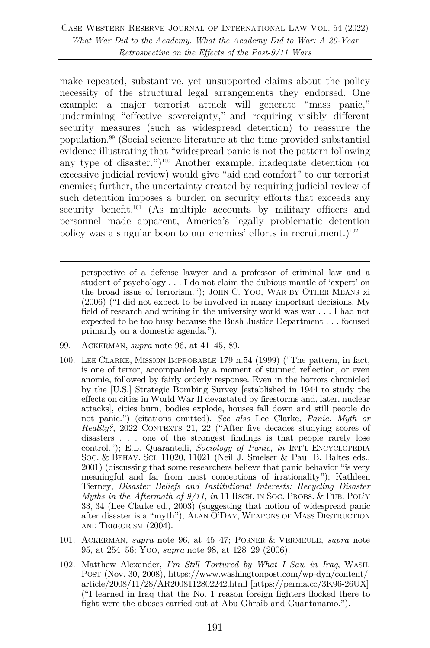make repeated, substantive, yet unsupported claims about the policy necessity of the structural legal arrangements they endorsed. One example: a major terrorist attack will generate "mass panic," undermining "effective sovereignty," and requiring visibly different security measures (such as widespread detention) to reassure the population.99 (Social science literature at the time provided substantial evidence illustrating that "widespread panic is not the pattern following any type of disaster.")100 Another example: inadequate detention (or excessive judicial review) would give "aid and comfort" to our terrorist enemies; further, the uncertainty created by requiring judicial review of such detention imposes a burden on security efforts that exceeds any security benefit.<sup>101</sup> (As multiple accounts by military officers and personnel made apparent, America's legally problematic detention policy was a singular boon to our enemies' efforts in recruitment.) $102$ 

perspective of a defense lawyer and a professor of criminal law and a student of psychology . . . I do not claim the dubious mantle of 'expert' on the broad issue of terrorism."); JOHN C. YOO, WAR BY OTHER MEANS xi (2006) ("I did not expect to be involved in many important decisions. My field of research and writing in the university world was war . . . I had not expected to be too busy because the Bush Justice Department . . . focused primarily on a domestic agenda.").

- 99. ACKERMAN, *supra* note 96, at 41–45, 89.
- 100. LEE CLARKE, MISSION IMPROBABLE 179 n.54 (1999) ("The pattern, in fact, is one of terror, accompanied by a moment of stunned reflection, or even anomie, followed by fairly orderly response. Even in the horrors chronicled by the [U.S.] Strategic Bombing Survey [established in 1944 to study the effects on cities in World War II devastated by firestorms and, later, nuclear attacks], cities burn, bodies explode, houses fall down and still people do not panic.") (citations omitted). *See also* Lee Clarke, *Panic: Myth or Reality?*, 2022 CONTEXTS 21, 22 ("After five decades studying scores of disasters . . . one of the strongest findings is that people rarely lose control."); E.L. Quarantelli, *Sociology of Panic*, *in* INT'L ENCYCLOPEDIA SOC. & BEHAV. SCI. 11020, 11021 (Neil J. Smelser & Paul B. Baltes eds., 2001) (discussing that some researchers believe that panic behavior "is very meaningful and far from most conceptions of irrationality"); Kathleen Tierney, *Disaster Beliefs and Institutional Interests: Recycling Disaster Myths in the Aftermath of 9/11, in* 11 RSCH. IN SOC. PROBS. & PUB. POL'Y 33, 34 (Lee Clarke ed., 2003) (suggesting that notion of widespread panic after disaster is a "myth"); ALAN O'DAY, WEAPONS OF MASS DESTRUCTION AND TERRORISM (2004).
- 101. ACKERMAN, *supra* note 96, at 45–47; POSNER & VERMEULE, *supra* note 95, at 254–56; YOO, *supra* note 98, at 128–29 (2006).
- 102. Matthew Alexander, *I'm Still Tortured by What I Saw in Iraq*, WASH. POST (Nov. 30, 2008), https://www.washingtonpost.com/wp-dyn/content/ article/2008/11/28/AR2008112802242.html [https://perma.cc/3K96-26UX] ("I learned in Iraq that the No. 1 reason foreign fighters flocked there to fight were the abuses carried out at Abu Ghraib and Guantanamo.").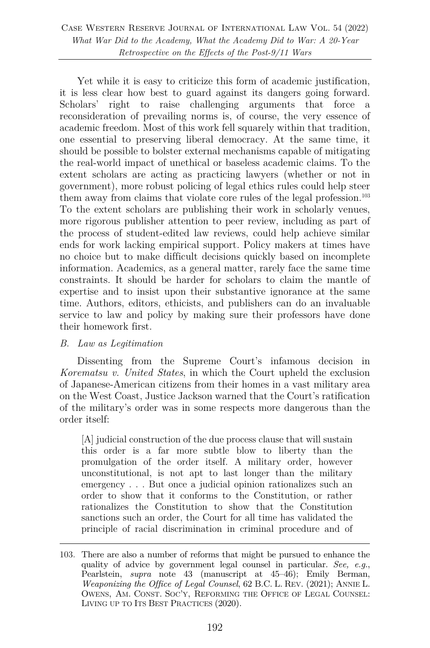Case Western Reserve Journal of International Law Vol. 54 (2022) *What War Did to the Academy, What the Academy Did to War: A 20-Year Retrospective on the Effects of the Post-9/11 Wars*

Yet while it is easy to criticize this form of academic justification, it is less clear how best to guard against its dangers going forward. Scholars' right to raise challenging arguments that force a reconsideration of prevailing norms is, of course, the very essence of academic freedom. Most of this work fell squarely within that tradition, one essential to preserving liberal democracy. At the same time, it should be possible to bolster external mechanisms capable of mitigating the real-world impact of unethical or baseless academic claims. To the extent scholars are acting as practicing lawyers (whether or not in government), more robust policing of legal ethics rules could help steer them away from claims that violate core rules of the legal profession. 103 To the extent scholars are publishing their work in scholarly venues, more rigorous publisher attention to peer review, including as part of the process of student-edited law reviews, could help achieve similar ends for work lacking empirical support. Policy makers at times have no choice but to make difficult decisions quickly based on incomplete information. Academics, as a general matter, rarely face the same time constraints. It should be harder for scholars to claim the mantle of expertise and to insist upon their substantive ignorance at the same time. Authors, editors, ethicists, and publishers can do an invaluable service to law and policy by making sure their professors have done their homework first.

### *B. Law as Legitimation*

Dissenting from the Supreme Court's infamous decision in *Korematsu v. United States*, in which the Court upheld the exclusion of Japanese-American citizens from their homes in a vast military area on the West Coast, Justice Jackson warned that the Court's ratification of the military's order was in some respects more dangerous than the order itself:

[A] judicial construction of the due process clause that will sustain this order is a far more subtle blow to liberty than the promulgation of the order itself. A military order, however unconstitutional, is not apt to last longer than the military emergency . . . But once a judicial opinion rationalizes such an order to show that it conforms to the Constitution, or rather rationalizes the Constitution to show that the Constitution sanctions such an order, the Court for all time has validated the principle of racial discrimination in criminal procedure and of

<sup>103.</sup> There are also a number of reforms that might be pursued to enhance the quality of advice by government legal counsel in particular. *See, e.g.*, Pearlstein, *supra* note 43 (manuscript at 45–46); Emily Berman, *Weaponizing the Office of Legal Counsel*, 62 B.C. L. REV. (2021); ANNIE L. OWENS, AM. CONST. SOC'Y, REFORMING THE OFFICE OF LEGAL COUNSEL: LIVING UP TO ITS BEST PRACTICES (2020).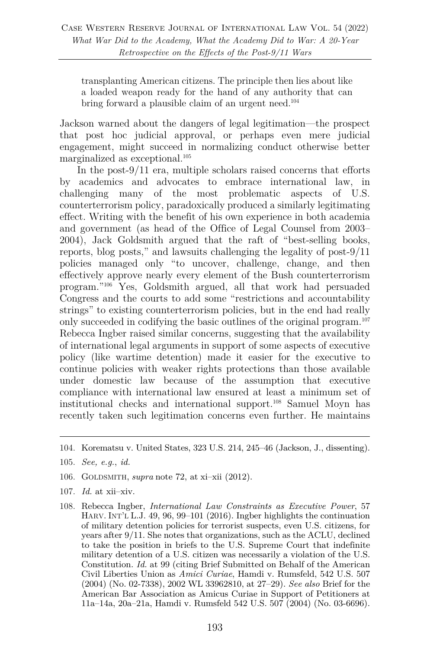transplanting American citizens. The principle then lies about like a loaded weapon ready for the hand of any authority that can bring forward a plausible claim of an urgent need.<sup>104</sup>

Jackson warned about the dangers of legal legitimation—the prospect that post hoc judicial approval, or perhaps even mere judicial engagement, might succeed in normalizing conduct otherwise better marginalized as exceptional.105

In the post-9/11 era, multiple scholars raised concerns that efforts by academics and advocates to embrace international law, in challenging many of the most problematic aspects of U.S. counterterrorism policy, paradoxically produced a similarly legitimating effect. Writing with the benefit of his own experience in both academia and government (as head of the Office of Legal Counsel from 2003– 2004), Jack Goldsmith argued that the raft of "best-selling books, reports, blog posts," and lawsuits challenging the legality of post-9/11 policies managed only "to uncover, challenge, change, and then effectively approve nearly every element of the Bush counterterrorism program."106 Yes, Goldsmith argued, all that work had persuaded Congress and the courts to add some "restrictions and accountability strings" to existing counterterrorism policies, but in the end had really only succeeded in codifying the basic outlines of the original program.107 Rebecca Ingber raised similar concerns, suggesting that the availability of international legal arguments in support of some aspects of executive policy (like wartime detention) made it easier for the executive to continue policies with weaker rights protections than those available under domestic law because of the assumption that executive compliance with international law ensured at least a minimum set of institutional checks and international support.108 Samuel Moyn has recently taken such legitimation concerns even further. He maintains

- 106. GOLDSMITH, *supra* note 72, at xi–xii (2012).
- 107. *Id.* at xii–xiv.
- 108. Rebecca Ingber, *International Law Constraints as Executive Power*, 57 HARV. INT'L L.J. 49, 96, 99–101 (2016). Ingber highlights the continuation of military detention policies for terrorist suspects, even U.S. citizens, for years after 9/11. She notes that organizations, such as the ACLU, declined to take the position in briefs to the U.S. Supreme Court that indefinite military detention of a U.S. citizen was necessarily a violation of the U.S. Constitution. *Id.* at 99 (citing Brief Submitted on Behalf of the American Civil Liberties Union as *Amici Curiae*, Hamdi v. Rumsfeld, 542 U.S. 507 (2004) (No. 02-7338), 2002 WL 33962810, at 27–29). *See also* Brief for the American Bar Association as Amicus Curiae in Support of Petitioners at 11a–14a, 20a–21a, Hamdi v. Rumsfeld 542 U.S. 507 (2004) (No. 03-6696).

<sup>104.</sup> Korematsu v. United States, 323 U.S. 214, 245–46 (Jackson, J., dissenting).

<sup>105.</sup> *See, e.g.*, *id.*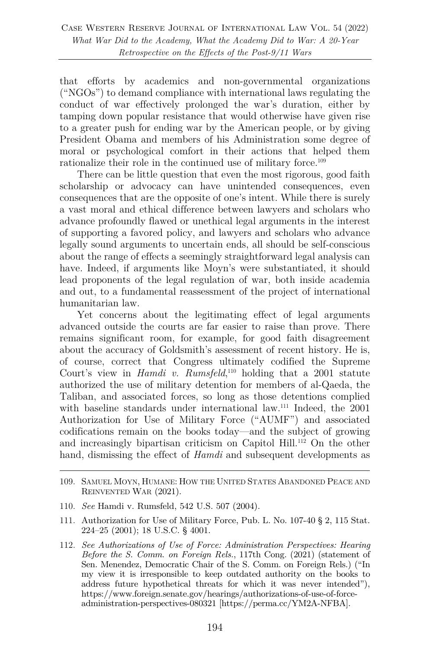that efforts by academics and non-governmental organizations ("NGOs") to demand compliance with international laws regulating the conduct of war effectively prolonged the war's duration, either by tamping down popular resistance that would otherwise have given rise to a greater push for ending war by the American people, or by giving President Obama and members of his Administration some degree of moral or psychological comfort in their actions that helped them rationalize their role in the continued use of military force.<sup>109</sup>

There can be little question that even the most rigorous, good faith scholarship or advocacy can have unintended consequences, even consequences that are the opposite of one's intent. While there is surely a vast moral and ethical difference between lawyers and scholars who advance profoundly flawed or unethical legal arguments in the interest of supporting a favored policy, and lawyers and scholars who advance legally sound arguments to uncertain ends, all should be self-conscious about the range of effects a seemingly straightforward legal analysis can have. Indeed, if arguments like Moyn's were substantiated, it should lead proponents of the legal regulation of war, both inside academia and out, to a fundamental reassessment of the project of international humanitarian law.

Yet concerns about the legitimating effect of legal arguments advanced outside the courts are far easier to raise than prove. There remains significant room, for example, for good faith disagreement about the accuracy of Goldsmith's assessment of recent history. He is, of course, correct that Congress ultimately codified the Supreme Court's view in *Hamdi v. Rumsfeld*<sup>110</sup> holding that a 2001 statute authorized the use of military detention for members of al-Qaeda, the Taliban, and associated forces, so long as those detentions complied with baseline standards under international law.<sup>111</sup> Indeed, the 2001 Authorization for Use of Military Force ("AUMF") and associated codifications remain on the books today—and the subject of growing and increasingly bipartisan criticism on Capitol Hill.<sup>112</sup> On the other hand, dismissing the effect of *Hamdi* and subsequent developments as

- 110. *See* Hamdi v. Rumsfeld, 542 U.S. 507 (2004).
- 111. Authorization for Use of Military Force, Pub. L. No. 107-40 § 2, 115 Stat. 224–25 (2001); 18 U.S.C. § 4001.
- 112. *See Authorizations of Use of Force: Administration Perspectives: Hearing Before the S. Comm. on Foreign Rels.*, 117th Cong. (2021) (statement of Sen. Menendez, Democratic Chair of the S. Comm. on Foreign Rels.) ("In my view it is irresponsible to keep outdated authority on the books to address future hypothetical threats for which it was never intended"), https://www.foreign.senate.gov/hearings/authorizations-of-use-of-forceadministration-perspectives-080321 [https://perma.cc/YM2A-NFBA].

<sup>109.</sup> SAMUEL MOYN, HUMANE: HOW THE UNITED STATES ABANDONED PEACE AND REINVENTED WAR (2021).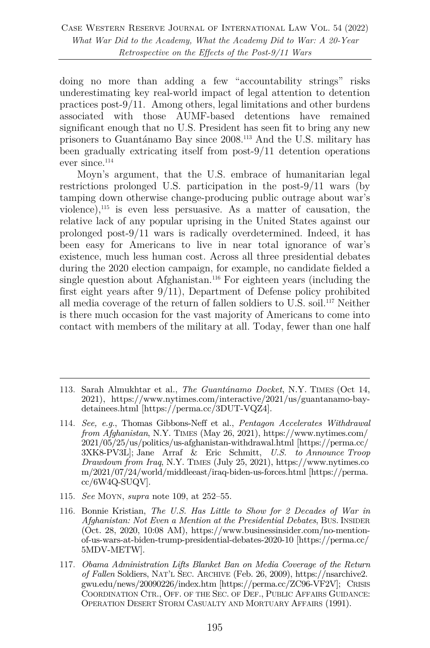doing no more than adding a few "accountability strings" risks underestimating key real-world impact of legal attention to detention practices post-9/11. Among others, legal limitations and other burdens associated with those AUMF-based detentions have remained significant enough that no U.S. President has seen fit to bring any new prisoners to Guantánamo Bay since 2008.113 And the U.S. military has been gradually extricating itself from post-9/11 detention operations ever since.114

Moyn's argument, that the U.S. embrace of humanitarian legal restrictions prolonged U.S. participation in the post-9/11 wars (by tamping down otherwise change-producing public outrage about war's violence),  $115$  is even less persuasive. As a matter of causation, the relative lack of any popular uprising in the United States against our prolonged post-9/11 wars is radically overdetermined. Indeed, it has been easy for Americans to live in near total ignorance of war's existence, much less human cost. Across all three presidential debates during the 2020 election campaign, for example, no candidate fielded a single question about Afghanistan.<sup>116</sup> For eighteen years (including the first eight years after 9/11), Department of Defense policy prohibited all media coverage of the return of fallen soldiers to U.S. soil.117 Neither is there much occasion for the vast majority of Americans to come into contact with members of the military at all. Today, fewer than one half

- 115. *See* MOYN, *supra* note 109, at 252–55.
- 116. Bonnie Kristian, *The U.S. Has Little to Show for 2 Decades of War in Afghanistan: Not Even a Mention at the Presidential Debates*, BUS. INSIDER (Oct. 28, 2020, 10:08 AM), https://www.businessinsider.com/no-mentionof-us-wars-at-biden-trump-presidential-debates-2020-10 [https://perma.cc/ 5MDV-METW].
- 117. *Obama Administration Lifts Blanket Ban on Media Coverage of the Return of Fallen* Soldiers, NAT'L SEC. ARCHIVE (Feb. 26, 2009), https://nsarchive2. gwu.edu/news/20090226/index.htm [https://perma.cc/ZC96-VF2V]; CRISIS COORDINATION CTR., OFF. OF THE SEC. OF DEF., PUBLIC AFFAIRS GUIDANCE: OPERATION DESERT STORM CASUALTY AND MORTUARY AFFAIRS (1991).

<sup>113.</sup> Sarah Almukhtar et al., *The Guantánamo Docket*, N.Y. TIMES (Oct 14, 2021), https://www.nytimes.com/interactive/2021/us/guantanamo-baydetainees.html [https://perma.cc/3DUT-VQZ4].

<sup>114.</sup> *See, e.g.*, Thomas Gibbons-Neff et al., *Pentagon Accelerates Withdrawal from Afghanistan*, N.Y. TIMES (May 26, 2021), https://www.nytimes.com/ 2021/05/25/us/politics/us-afghanistan-withdrawal.html [https://perma.cc/ 3XK8-PV3L]; Jane Arraf & Eric Schmitt, *U.S. to Announce Troop Drawdown from Iraq*, N.Y. TIMES (July 25, 2021), https://www.nytimes.co m/2021/07/24/world/middleeast/iraq-biden-us-forces.html [https://perma. cc/6W4Q-SUQV].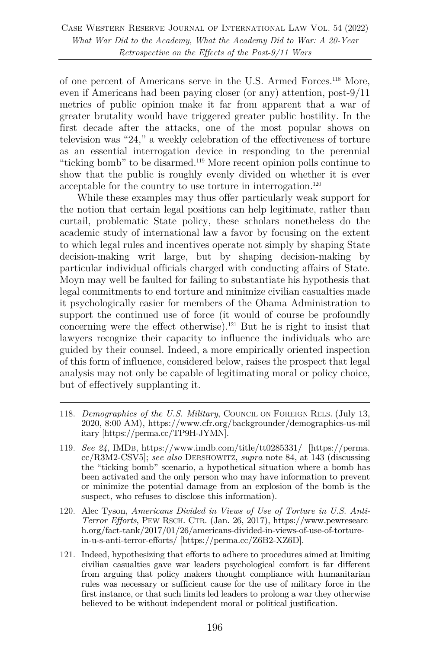of one percent of Americans serve in the U.S. Armed Forces.118 More, even if Americans had been paying closer (or any) attention, post-9/11 metrics of public opinion make it far from apparent that a war of greater brutality would have triggered greater public hostility. In the first decade after the attacks, one of the most popular shows on television was "24," a weekly celebration of the effectiveness of torture as an essential interrogation device in responding to the perennial "ticking bomb" to be disarmed.119 More recent opinion polls continue to show that the public is roughly evenly divided on whether it is ever acceptable for the country to use torture in interrogation.<sup>120</sup>

While these examples may thus offer particularly weak support for the notion that certain legal positions can help legitimate, rather than curtail, problematic State policy, these scholars nonetheless do the academic study of international law a favor by focusing on the extent to which legal rules and incentives operate not simply by shaping State decision-making writ large, but by shaping decision-making by particular individual officials charged with conducting affairs of State. Moyn may well be faulted for failing to substantiate his hypothesis that legal commitments to end torture and minimize civilian casualties made it psychologically easier for members of the Obama Administration to support the continued use of force (it would of course be profoundly concerning were the effect otherwise).121 But he is right to insist that lawyers recognize their capacity to influence the individuals who are guided by their counsel. Indeed, a more empirically oriented inspection of this form of influence, considered below, raises the prospect that legal analysis may not only be capable of legitimating moral or policy choice, but of effectively supplanting it.

- 118. *Demographics of the U.S. Military*, COUNCIL ON FOREIGN RELS. (July 13, 2020, 8:00 AM), https://www.cfr.org/backgrounder/demographics-us-mil itary [https://perma.cc/TP9H-JYMN].
- 119. *See 24*, IMDB, https://www.imdb.com/title/tt0285331/ [https://perma. cc/R3M2-CSV5]; *see also* DERSHOWITZ, *supra* note 84, at 143 (discussing the "ticking bomb" scenario, a hypothetical situation where a bomb has been activated and the only person who may have information to prevent or minimize the potential damage from an explosion of the bomb is the suspect, who refuses to disclose this information).
- 120. Alec Tyson, *Americans Divided in Views of Use of Torture in U.S. Anti-Terror Efforts*, PEW RSCH. CTR. (Jan. 26, 2017), https://www.pewresearc h.org/fact-tank/2017/01/26/americans-divided-in-views-of-use-of-torturein-u-s-anti-terror-efforts/ [https://perma.cc/Z6B2-XZ6D].
- 121. Indeed, hypothesizing that efforts to adhere to procedures aimed at limiting civilian casualties gave war leaders psychological comfort is far different from arguing that policy makers thought compliance with humanitarian rules was necessary or sufficient cause for the use of military force in the first instance, or that such limits led leaders to prolong a war they otherwise believed to be without independent moral or political justification.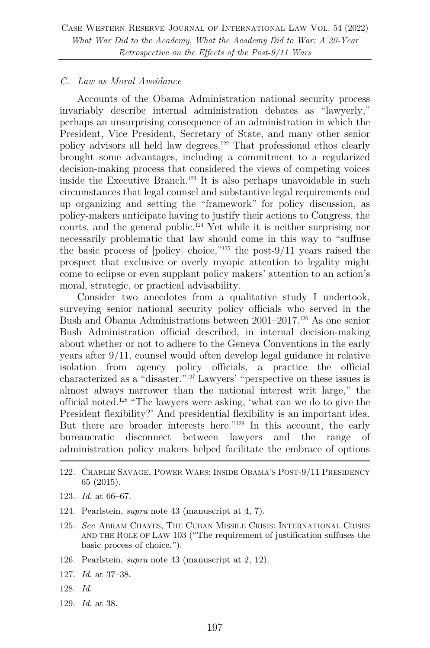#### *C. Law as Moral Avoidance*

Accounts of the Obama Administration national security process invariably describe internal administration debates as "lawyerly," perhaps an unsurprising consequence of an administration in which the President, Vice President, Secretary of State, and many other senior policy advisors all held law degrees.122 That professional ethos clearly brought some advantages, including a commitment to a regularized decision-making process that considered the views of competing voices inside the Executive Branch.<sup>123</sup> It is also perhaps unavoidable in such circumstances that legal counsel and substantive legal requirements end up organizing and setting the "framework" for policy discussion, as policy-makers anticipate having to justify their actions to Congress, the courts, and the general public. <sup>124</sup> Yet while it is neither surprising nor necessarily problematic that law should come in this way to "suffuse the basic process of [policy] choice," $125$  the post-9/11 years raised the prospect that exclusive or overly myopic attention to legality might come to eclipse or even supplant policy makers' attention to an action's moral, strategic, or practical advisability.

Consider two anecdotes from a qualitative study I undertook, surveying senior national security policy officials who served in the Bush and Obama Administrations between 2001–2017.<sup>126</sup> As one senior Bush Administration official described, in internal decision-making about whether or not to adhere to the Geneva Conventions in the early years after 9/11, counsel would often develop legal guidance in relative isolation from agency policy officials, a practice the official characterized as a "disaster."127 Lawyers' "perspective on these issues is almost always narrower than the national interest writ large," the official noted.128 "The lawyers were asking, 'what can we do to give the President flexibility?' And presidential flexibility is an important idea. But there are broader interests here."129 In this account, the early bureaucratic disconnect between lawyers and the range of administration policy makers helped facilitate the embrace of options

- 122. CHARLIE SAVAGE, POWER WARS: INSIDE OBAMA'S POST-9/11 PRESIDENCY 65 (2015).
- 123. *Id.* at 66–67.
- 124. Pearlstein, *supra* note 43 (manuscript at 4, 7).
- 125. *See* ABRAM CHAYES, THE CUBAN MISSILE CRISIS: INTERNATIONAL CRISES AND THE ROLE OF LAW 103 ("The requirement of justification suffuses the basic process of choice.").
- 126. Pearlstein, *supra* note 43 (manuscript at 2, 12).
- 127. *Id.* at 37–38.
- 128. *Id.*
- 129. *Id.* at 38.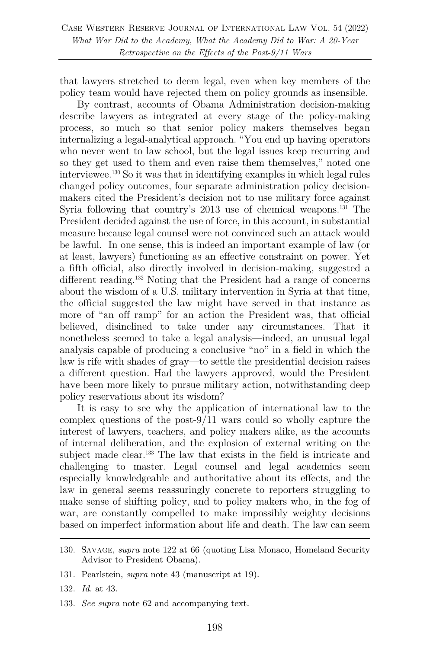that lawyers stretched to deem legal, even when key members of the policy team would have rejected them on policy grounds as insensible.

By contrast, accounts of Obama Administration decision-making describe lawyers as integrated at every stage of the policy-making process, so much so that senior policy makers themselves began internalizing a legal-analytical approach. "You end up having operators who never went to law school, but the legal issues keep recurring and so they get used to them and even raise them themselves," noted one interviewee.130 So it was that in identifying examples in which legal rules changed policy outcomes, four separate administration policy decisionmakers cited the President's decision not to use military force against Syria following that country's 2013 use of chemical weapons.<sup>131</sup> The President decided against the use of force, in this account, in substantial measure because legal counsel were not convinced such an attack would be lawful. In one sense, this is indeed an important example of law (or at least, lawyers) functioning as an effective constraint on power. Yet a fifth official, also directly involved in decision-making, suggested a different reading. <sup>132</sup> Noting that the President had a range of concerns about the wisdom of a U.S. military intervention in Syria at that time, the official suggested the law might have served in that instance as more of "an off ramp" for an action the President was, that official believed, disinclined to take under any circumstances. That it nonetheless seemed to take a legal analysis—indeed, an unusual legal analysis capable of producing a conclusive "no" in a field in which the law is rife with shades of gray—to settle the presidential decision raises a different question. Had the lawyers approved, would the President have been more likely to pursue military action, notwithstanding deep policy reservations about its wisdom?

It is easy to see why the application of international law to the complex questions of the post-9/11 wars could so wholly capture the interest of lawyers, teachers, and policy makers alike, as the accounts of internal deliberation, and the explosion of external writing on the subject made clear.<sup>133</sup> The law that exists in the field is intricate and challenging to master. Legal counsel and legal academics seem especially knowledgeable and authoritative about its effects, and the law in general seems reassuringly concrete to reporters struggling to make sense of shifting policy, and to policy makers who, in the fog of war, are constantly compelled to make impossibly weighty decisions based on imperfect information about life and death. The law can seem

- 132. *Id.* at 43.
- 133. *See supra* note 62 and accompanying text.

<sup>130.</sup> SAVAGE, *supra* note 122 at 66 (quoting Lisa Monaco, Homeland Security Advisor to President Obama).

<sup>131.</sup> Pearlstein, *supra* note 43 (manuscript at 19).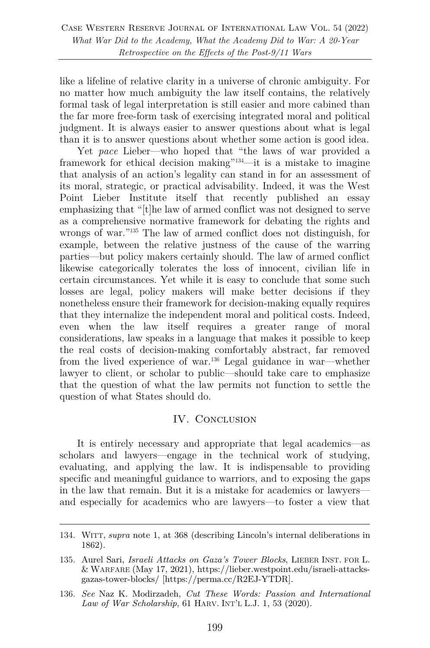like a lifeline of relative clarity in a universe of chronic ambiguity. For no matter how much ambiguity the law itself contains, the relatively formal task of legal interpretation is still easier and more cabined than the far more free-form task of exercising integrated moral and political judgment. It is always easier to answer questions about what is legal than it is to answer questions about whether some action is good idea.

Yet *pace* Lieber—who hoped that "the laws of war provided a framework for ethical decision making"134—it is a mistake to imagine that analysis of an action's legality can stand in for an assessment of its moral, strategic, or practical advisability. Indeed, it was the West Point Lieber Institute itself that recently published an essay emphasizing that "[t]he law of armed conflict was not designed to serve as a comprehensive normative framework for debating the rights and wrongs of war."135 The law of armed conflict does not distinguish, for example, between the relative justness of the cause of the warring parties—but policy makers certainly should. The law of armed conflict likewise categorically tolerates the loss of innocent, civilian life in certain circumstances. Yet while it is easy to conclude that some such losses are legal, policy makers will make better decisions if they nonetheless ensure their framework for decision-making equally requires that they internalize the independent moral and political costs. Indeed, even when the law itself requires a greater range of moral considerations, law speaks in a language that makes it possible to keep the real costs of decision-making comfortably abstract, far removed from the lived experience of war.136 Legal guidance in war—whether lawyer to client, or scholar to public—should take care to emphasize that the question of what the law permits not function to settle the question of what States should do.

## IV. CONCLUSION

It is entirely necessary and appropriate that legal academics—as scholars and lawyers—engage in the technical work of studying, evaluating, and applying the law. It is indispensable to providing specific and meaningful guidance to warriors, and to exposing the gaps in the law that remain. But it is a mistake for academics or lawyers and especially for academics who are lawyers—to foster a view that

<sup>134.</sup> WITT, *supra* note 1, at 368 (describing Lincoln's internal deliberations in 1862).

<sup>135.</sup> Aurel Sari, *Israeli Attacks on Gaza's Tower Blocks*, LIEBER INST. FOR L. & WARFARE (May 17, 2021), https://lieber.westpoint.edu/israeli-attacksgazas-tower-blocks/ [https://perma.cc/R2EJ-YTDR].

<sup>136.</sup> *See* Naz K. Modirzadeh, *Cut These Words: Passion and International Law of War Scholarship*, 61 HARV. INT'L L.J. 1, 53 (2020).